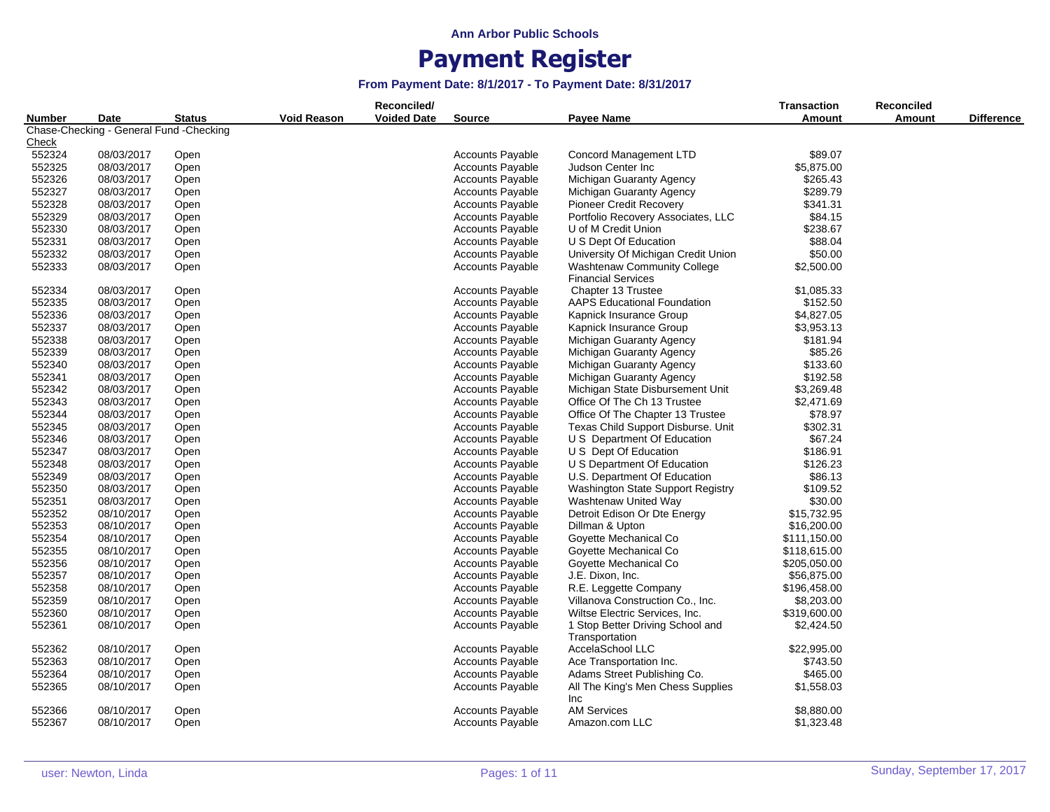|               |                                         |               |                    | Reconciled/        |                         |                                                                 | <b>Transaction</b> | <b>Reconciled</b> |                   |
|---------------|-----------------------------------------|---------------|--------------------|--------------------|-------------------------|-----------------------------------------------------------------|--------------------|-------------------|-------------------|
| <b>Number</b> | Date                                    | <b>Status</b> | <b>Void Reason</b> | <b>Voided Date</b> | <b>Source</b>           | Payee Name                                                      | Amount             | <b>Amount</b>     | <b>Difference</b> |
|               | Chase-Checking - General Fund -Checking |               |                    |                    |                         |                                                                 |                    |                   |                   |
| <u>Check</u>  |                                         |               |                    |                    |                         |                                                                 |                    |                   |                   |
| 552324        | 08/03/2017                              | Open          |                    |                    | <b>Accounts Payable</b> | Concord Management LTD                                          | \$89.07            |                   |                   |
| 552325        | 08/03/2017                              | Open          |                    |                    | <b>Accounts Payable</b> | Judson Center Inc                                               | \$5,875.00         |                   |                   |
| 552326        | 08/03/2017                              | Open          |                    |                    | <b>Accounts Payable</b> | Michigan Guaranty Agency                                        | \$265.43           |                   |                   |
| 552327        | 08/03/2017                              | Open          |                    |                    | <b>Accounts Payable</b> | Michigan Guaranty Agency                                        | \$289.79           |                   |                   |
| 552328        | 08/03/2017                              | Open          |                    |                    | <b>Accounts Payable</b> | <b>Pioneer Credit Recovery</b>                                  | \$341.31           |                   |                   |
| 552329        | 08/03/2017                              | Open          |                    |                    | <b>Accounts Payable</b> | Portfolio Recovery Associates, LLC                              | \$84.15            |                   |                   |
| 552330        | 08/03/2017                              | Open          |                    |                    | <b>Accounts Payable</b> | U of M Credit Union                                             | \$238.67           |                   |                   |
| 552331        | 08/03/2017                              | Open          |                    |                    | <b>Accounts Payable</b> | U S Dept Of Education                                           | \$88.04            |                   |                   |
| 552332        | 08/03/2017                              | Open          |                    |                    | <b>Accounts Payable</b> | University Of Michigan Credit Union                             | \$50.00            |                   |                   |
| 552333        | 08/03/2017                              | Open          |                    |                    | <b>Accounts Payable</b> | <b>Washtenaw Community College</b><br><b>Financial Services</b> | \$2,500.00         |                   |                   |
| 552334        | 08/03/2017                              | Open          |                    |                    | <b>Accounts Payable</b> | Chapter 13 Trustee                                              | \$1,085.33         |                   |                   |
| 552335        | 08/03/2017                              | Open          |                    |                    | <b>Accounts Payable</b> | <b>AAPS Educational Foundation</b>                              | \$152.50           |                   |                   |
| 552336        | 08/03/2017                              | Open          |                    |                    | <b>Accounts Payable</b> | Kapnick Insurance Group                                         | \$4,827.05         |                   |                   |
| 552337        | 08/03/2017                              | Open          |                    |                    | <b>Accounts Payable</b> | Kapnick Insurance Group                                         | \$3,953.13         |                   |                   |
| 552338        | 08/03/2017                              | Open          |                    |                    | <b>Accounts Payable</b> | Michigan Guaranty Agency                                        | \$181.94           |                   |                   |
| 552339        | 08/03/2017                              |               |                    |                    | <b>Accounts Payable</b> | Michigan Guaranty Agency                                        | \$85.26            |                   |                   |
|               |                                         | Open          |                    |                    |                         |                                                                 |                    |                   |                   |
| 552340        | 08/03/2017                              | Open          |                    |                    | <b>Accounts Payable</b> | Michigan Guaranty Agency                                        | \$133.60           |                   |                   |
| 552341        | 08/03/2017                              | Open          |                    |                    | <b>Accounts Payable</b> | Michigan Guaranty Agency                                        | \$192.58           |                   |                   |
| 552342        | 08/03/2017                              | Open          |                    |                    | <b>Accounts Payable</b> | Michigan State Disbursement Unit                                | \$3,269.48         |                   |                   |
| 552343        | 08/03/2017                              | Open          |                    |                    | <b>Accounts Payable</b> | Office Of The Ch 13 Trustee                                     | \$2,471.69         |                   |                   |
| 552344        | 08/03/2017                              | Open          |                    |                    | <b>Accounts Payable</b> | Office Of The Chapter 13 Trustee                                | \$78.97            |                   |                   |
| 552345        | 08/03/2017                              | Open          |                    |                    | <b>Accounts Payable</b> | Texas Child Support Disburse. Unit                              | \$302.31           |                   |                   |
| 552346        | 08/03/2017                              | Open          |                    |                    | <b>Accounts Payable</b> | U S Department Of Education                                     | \$67.24            |                   |                   |
| 552347        | 08/03/2017                              | Open          |                    |                    | <b>Accounts Payable</b> | U S Dept Of Education                                           | \$186.91           |                   |                   |
| 552348        | 08/03/2017                              | Open          |                    |                    | <b>Accounts Payable</b> | U S Department Of Education                                     | \$126.23           |                   |                   |
| 552349        | 08/03/2017                              | Open          |                    |                    | <b>Accounts Payable</b> | U.S. Department Of Education                                    | \$86.13            |                   |                   |
| 552350        | 08/03/2017                              | Open          |                    |                    | <b>Accounts Payable</b> | Washington State Support Registry                               | \$109.52           |                   |                   |
| 552351        | 08/03/2017                              | Open          |                    |                    | <b>Accounts Payable</b> | Washtenaw United Way                                            | \$30.00            |                   |                   |
| 552352        | 08/10/2017                              | Open          |                    |                    | <b>Accounts Payable</b> | Detroit Edison Or Dte Energy                                    | \$15,732.95        |                   |                   |
| 552353        | 08/10/2017                              | Open          |                    |                    | <b>Accounts Payable</b> | Dillman & Upton                                                 | \$16,200.00        |                   |                   |
| 552354        | 08/10/2017                              | Open          |                    |                    | <b>Accounts Payable</b> | Goyette Mechanical Co                                           | \$111,150.00       |                   |                   |
| 552355        | 08/10/2017                              | Open          |                    |                    | <b>Accounts Payable</b> | Goyette Mechanical Co                                           | \$118,615.00       |                   |                   |
| 552356        | 08/10/2017                              | Open          |                    |                    | <b>Accounts Payable</b> | Goyette Mechanical Co                                           | \$205,050.00       |                   |                   |
| 552357        | 08/10/2017                              | Open          |                    |                    | <b>Accounts Payable</b> | J.E. Dixon, Inc.                                                | \$56,875.00        |                   |                   |
| 552358        | 08/10/2017                              | Open          |                    |                    | <b>Accounts Payable</b> | R.E. Leggette Company                                           | \$196,458.00       |                   |                   |
| 552359        | 08/10/2017                              | Open          |                    |                    | <b>Accounts Payable</b> | Villanova Construction Co., Inc.                                | \$8,203.00         |                   |                   |
| 552360        | 08/10/2017                              | Open          |                    |                    | <b>Accounts Payable</b> | Wiltse Electric Services, Inc.                                  | \$319,600.00       |                   |                   |
| 552361        | 08/10/2017                              | Open          |                    |                    | <b>Accounts Payable</b> | 1 Stop Better Driving School and<br>Transportation              | \$2,424.50         |                   |                   |
| 552362        | 08/10/2017                              | Open          |                    |                    | <b>Accounts Payable</b> | AccelaSchool LLC                                                | \$22,995.00        |                   |                   |
| 552363        | 08/10/2017                              | Open          |                    |                    | <b>Accounts Payable</b> | Ace Transportation Inc.                                         | \$743.50           |                   |                   |
| 552364        | 08/10/2017                              | Open          |                    |                    | <b>Accounts Payable</b> | Adams Street Publishing Co.                                     | \$465.00           |                   |                   |
| 552365        | 08/10/2017                              | Open          |                    |                    | <b>Accounts Payable</b> | All The King's Men Chess Supplies                               | \$1,558.03         |                   |                   |
|               |                                         |               |                    |                    |                         | <b>Inc</b>                                                      |                    |                   |                   |
| 552366        | 08/10/2017                              | Open          |                    |                    | <b>Accounts Payable</b> | <b>AM Services</b>                                              | \$8,880.00         |                   |                   |
| 552367        | 08/10/2017                              | Open          |                    |                    | <b>Accounts Payable</b> | Amazon.com LLC                                                  | \$1,323.48         |                   |                   |
|               |                                         |               |                    |                    |                         |                                                                 |                    |                   |                   |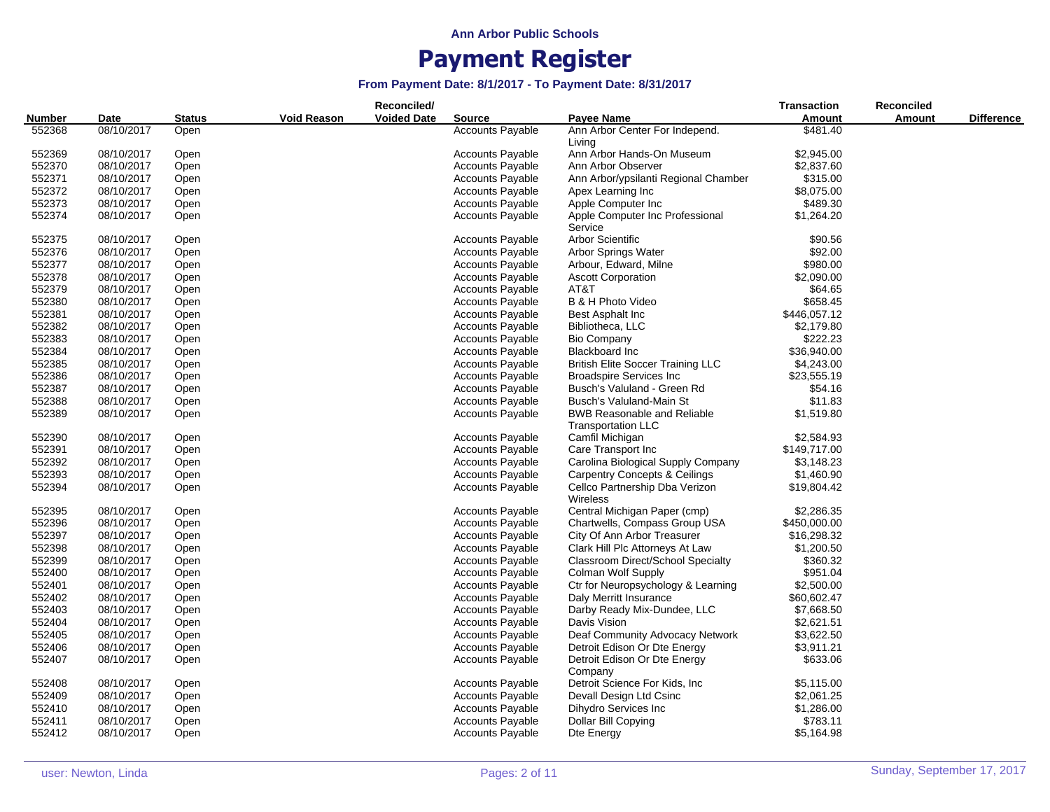|               |            |               |                    | Reconciled/        |                         |                                          | <b>Transaction</b> | <b>Reconciled</b> |                   |
|---------------|------------|---------------|--------------------|--------------------|-------------------------|------------------------------------------|--------------------|-------------------|-------------------|
| <b>Number</b> | Date       | <b>Status</b> | <b>Void Reason</b> | <b>Voided Date</b> | <b>Source</b>           | Payee Name                               | Amount             | <b>Amount</b>     | <b>Difference</b> |
| 552368        | 08/10/2017 | Open          |                    |                    | <b>Accounts Payable</b> | Ann Arbor Center For Independ.           | \$481.40           |                   |                   |
|               |            |               |                    |                    |                         | Living                                   |                    |                   |                   |
| 552369        | 08/10/2017 | Open          |                    |                    | <b>Accounts Payable</b> | Ann Arbor Hands-On Museum                | \$2,945.00         |                   |                   |
| 552370        | 08/10/2017 | Open          |                    |                    | <b>Accounts Payable</b> | Ann Arbor Observer                       | \$2,837.60         |                   |                   |
| 552371        | 08/10/2017 | Open          |                    |                    | <b>Accounts Payable</b> | Ann Arbor/ypsilanti Regional Chamber     | \$315.00           |                   |                   |
| 552372        | 08/10/2017 | Open          |                    |                    | <b>Accounts Payable</b> | Apex Learning Inc                        | \$8,075.00         |                   |                   |
| 552373        | 08/10/2017 | Open          |                    |                    | Accounts Payable        | Apple Computer Inc                       | \$489.30           |                   |                   |
| 552374        | 08/10/2017 | Open          |                    |                    | Accounts Payable        | Apple Computer Inc Professional          | \$1,264.20         |                   |                   |
|               |            |               |                    |                    |                         | Service                                  |                    |                   |                   |
| 552375        | 08/10/2017 | Open          |                    |                    | <b>Accounts Payable</b> | <b>Arbor Scientific</b>                  | \$90.56            |                   |                   |
| 552376        | 08/10/2017 | Open          |                    |                    | <b>Accounts Payable</b> | <b>Arbor Springs Water</b>               | \$92.00            |                   |                   |
| 552377        | 08/10/2017 | Open          |                    |                    | <b>Accounts Payable</b> | Arbour, Edward, Milne                    | \$980.00           |                   |                   |
| 552378        | 08/10/2017 | Open          |                    |                    | <b>Accounts Payable</b> | <b>Ascott Corporation</b>                | \$2,090.00         |                   |                   |
| 552379        | 08/10/2017 | Open          |                    |                    | <b>Accounts Payable</b> | AT&T                                     | \$64.65            |                   |                   |
| 552380        | 08/10/2017 | Open          |                    |                    | <b>Accounts Payable</b> | B & H Photo Video                        | \$658.45           |                   |                   |
| 552381        | 08/10/2017 | Open          |                    |                    | Accounts Payable        | Best Asphalt Inc                         | \$446,057.12       |                   |                   |
| 552382        | 08/10/2017 | Open          |                    |                    | <b>Accounts Payable</b> | Bibliotheca, LLC                         | \$2,179.80         |                   |                   |
| 552383        | 08/10/2017 | Open          |                    |                    | <b>Accounts Payable</b> | <b>Bio Company</b>                       | \$222.23           |                   |                   |
| 552384        | 08/10/2017 | Open          |                    |                    | <b>Accounts Payable</b> | <b>Blackboard Inc</b>                    | \$36,940.00        |                   |                   |
| 552385        | 08/10/2017 | Open          |                    |                    | <b>Accounts Payable</b> | <b>British Elite Soccer Training LLC</b> | \$4,243.00         |                   |                   |
| 552386        | 08/10/2017 | Open          |                    |                    | <b>Accounts Payable</b> | <b>Broadspire Services Inc.</b>          | \$23,555.19        |                   |                   |
| 552387        | 08/10/2017 | Open          |                    |                    | <b>Accounts Payable</b> | Busch's Valuland - Green Rd              | \$54.16            |                   |                   |
| 552388        | 08/10/2017 | Open          |                    |                    | <b>Accounts Payable</b> | Busch's Valuland-Main St                 | \$11.83            |                   |                   |
| 552389        | 08/10/2017 | Open          |                    |                    | Accounts Payable        | <b>BWB Reasonable and Reliable</b>       | \$1,519.80         |                   |                   |
|               |            |               |                    |                    |                         | <b>Transportation LLC</b>                |                    |                   |                   |
| 552390        | 08/10/2017 | Open          |                    |                    | <b>Accounts Payable</b> | Camfil Michigan                          | \$2,584.93         |                   |                   |
| 552391        | 08/10/2017 | Open          |                    |                    | <b>Accounts Payable</b> | Care Transport Inc                       | \$149,717.00       |                   |                   |
| 552392        | 08/10/2017 | Open          |                    |                    | <b>Accounts Payable</b> | Carolina Biological Supply Company       | \$3,148.23         |                   |                   |
| 552393        | 08/10/2017 | Open          |                    |                    | <b>Accounts Payable</b> | Carpentry Concepts & Ceilings            | \$1,460.90         |                   |                   |
| 552394        | 08/10/2017 | Open          |                    |                    | <b>Accounts Payable</b> | Cellco Partnership Dba Verizon           | \$19,804.42        |                   |                   |
|               |            |               |                    |                    |                         | Wireless                                 |                    |                   |                   |
| 552395        | 08/10/2017 | Open          |                    |                    | <b>Accounts Payable</b> | Central Michigan Paper (cmp)             | \$2,286.35         |                   |                   |
| 552396        | 08/10/2017 | Open          |                    |                    | <b>Accounts Payable</b> | Chartwells, Compass Group USA            | \$450,000.00       |                   |                   |
| 552397        | 08/10/2017 | Open          |                    |                    | <b>Accounts Payable</b> | City Of Ann Arbor Treasurer              | \$16,298.32        |                   |                   |
| 552398        | 08/10/2017 | Open          |                    |                    | <b>Accounts Payable</b> | Clark Hill Plc Attorneys At Law          | \$1,200.50         |                   |                   |
| 552399        | 08/10/2017 | Open          |                    |                    | <b>Accounts Payable</b> | Classroom Direct/School Specialty        | \$360.32           |                   |                   |
| 552400        | 08/10/2017 | Open          |                    |                    | <b>Accounts Payable</b> | Colman Wolf Supply                       | \$951.04           |                   |                   |
| 552401        | 08/10/2017 | Open          |                    |                    | <b>Accounts Payable</b> | Ctr for Neuropsychology & Learning       | \$2,500.00         |                   |                   |
| 552402        | 08/10/2017 | Open          |                    |                    | <b>Accounts Payable</b> | Daly Merritt Insurance                   | \$60,602.47        |                   |                   |
| 552403        | 08/10/2017 | Open          |                    |                    | <b>Accounts Payable</b> | Darby Ready Mix-Dundee, LLC              | \$7,668.50         |                   |                   |
| 552404        | 08/10/2017 | Open          |                    |                    | <b>Accounts Payable</b> | Davis Vision                             | \$2,621.51         |                   |                   |
| 552405        | 08/10/2017 | Open          |                    |                    | <b>Accounts Payable</b> | Deaf Community Advocacy Network          | \$3,622.50         |                   |                   |
| 552406        | 08/10/2017 | Open          |                    |                    | <b>Accounts Payable</b> | Detroit Edison Or Dte Energy             | \$3,911.21         |                   |                   |
| 552407        | 08/10/2017 | Open          |                    |                    | <b>Accounts Payable</b> | Detroit Edison Or Dte Energy             | \$633.06           |                   |                   |
| 552408        | 08/10/2017 | Open          |                    |                    | <b>Accounts Payable</b> | Company<br>Detroit Science For Kids, Inc | \$5,115.00         |                   |                   |
| 552409        | 08/10/2017 | Open          |                    |                    | <b>Accounts Payable</b> | Devall Design Ltd Csinc                  | \$2,061.25         |                   |                   |
| 552410        | 08/10/2017 | Open          |                    |                    | <b>Accounts Payable</b> | Dihydro Services Inc                     | \$1,286.00         |                   |                   |
| 552411        | 08/10/2017 | Open          |                    |                    | <b>Accounts Payable</b> | Dollar Bill Copying                      | \$783.11           |                   |                   |
| 552412        | 08/10/2017 | Open          |                    |                    | <b>Accounts Payable</b> | Dte Energy                               | \$5,164.98         |                   |                   |
|               |            |               |                    |                    |                         |                                          |                    |                   |                   |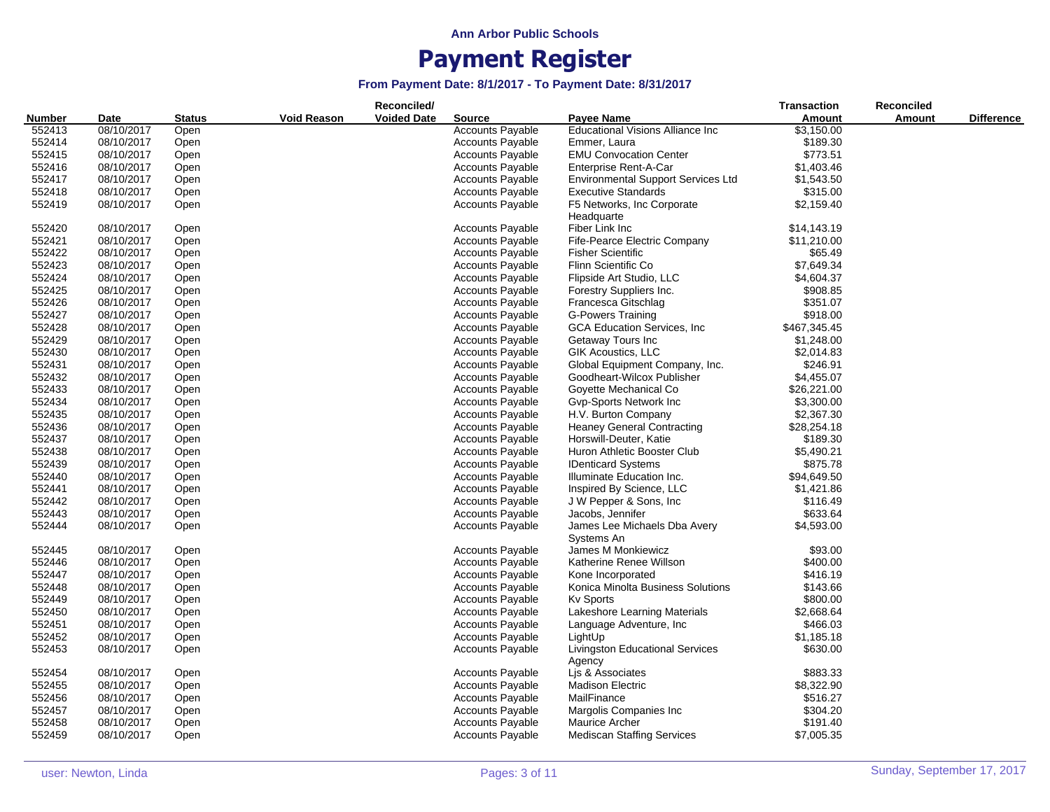|               |            |               |             | Reconciled/        |                         |                                            | <b>Transaction</b> | Reconciled    |                   |
|---------------|------------|---------------|-------------|--------------------|-------------------------|--------------------------------------------|--------------------|---------------|-------------------|
| <b>Number</b> | Date       | <b>Status</b> | Void Reason | <b>Voided Date</b> | <b>Source</b>           | Payee Name                                 | Amount             | <b>Amount</b> | <b>Difference</b> |
| 552413        | 08/10/2017 | Open          |             |                    | <b>Accounts Payable</b> | <b>Educational Visions Alliance Inc.</b>   | \$3,150.00         |               |                   |
| 552414        | 08/10/2017 | Open          |             |                    | <b>Accounts Payable</b> | Emmer, Laura                               | \$189.30           |               |                   |
| 552415        | 08/10/2017 | Open          |             |                    | <b>Accounts Payable</b> | <b>EMU Convocation Center</b>              | \$773.51           |               |                   |
| 552416        | 08/10/2017 | Open          |             |                    | <b>Accounts Payable</b> | Enterprise Rent-A-Car                      | \$1,403.46         |               |                   |
| 552417        | 08/10/2017 | Open          |             |                    | <b>Accounts Payable</b> | <b>Environmental Support Services Ltd</b>  | \$1,543.50         |               |                   |
| 552418        | 08/10/2017 | Open          |             |                    | <b>Accounts Payable</b> | <b>Executive Standards</b>                 | \$315.00           |               |                   |
| 552419        | 08/10/2017 | Open          |             |                    | <b>Accounts Payable</b> | F5 Networks, Inc Corporate                 | \$2,159.40         |               |                   |
|               |            |               |             |                    |                         | Headquarte                                 |                    |               |                   |
| 552420        | 08/10/2017 | Open          |             |                    | <b>Accounts Payable</b> | Fiber Link Inc                             | \$14,143.19        |               |                   |
| 552421        | 08/10/2017 | Open          |             |                    | <b>Accounts Payable</b> | Fife-Pearce Electric Company               | \$11,210.00        |               |                   |
| 552422        | 08/10/2017 | Open          |             |                    | <b>Accounts Payable</b> | <b>Fisher Scientific</b>                   | \$65.49            |               |                   |
| 552423        | 08/10/2017 | Open          |             |                    | <b>Accounts Payable</b> | Flinn Scientific Co                        | \$7,649.34         |               |                   |
| 552424        | 08/10/2017 | Open          |             |                    | <b>Accounts Payable</b> | Flipside Art Studio, LLC                   | \$4,604.37         |               |                   |
| 552425        | 08/10/2017 | Open          |             |                    | <b>Accounts Payable</b> | Forestry Suppliers Inc.                    | \$908.85           |               |                   |
| 552426        | 08/10/2017 |               |             |                    | <b>Accounts Payable</b> | Francesca Gitschlag                        | \$351.07           |               |                   |
| 552427        | 08/10/2017 | Open          |             |                    | <b>Accounts Payable</b> | <b>G-Powers Training</b>                   | \$918.00           |               |                   |
|               |            | Open          |             |                    |                         |                                            |                    |               |                   |
| 552428        | 08/10/2017 | Open          |             |                    | <b>Accounts Payable</b> | <b>GCA Education Services, Inc.</b>        | \$467,345.45       |               |                   |
| 552429        | 08/10/2017 | Open          |             |                    | <b>Accounts Payable</b> | Getaway Tours Inc                          | \$1,248.00         |               |                   |
| 552430        | 08/10/2017 | Open          |             |                    | <b>Accounts Payable</b> | <b>GIK Acoustics, LLC</b>                  | \$2,014.83         |               |                   |
| 552431        | 08/10/2017 | Open          |             |                    | Accounts Payable        | Global Equipment Company, Inc.             | \$246.91           |               |                   |
| 552432        | 08/10/2017 | Open          |             |                    | <b>Accounts Payable</b> | Goodheart-Wilcox Publisher                 | \$4,455.07         |               |                   |
| 552433        | 08/10/2017 | Open          |             |                    | <b>Accounts Payable</b> | Goyette Mechanical Co                      | \$26,221.00        |               |                   |
| 552434        | 08/10/2017 | Open          |             |                    | <b>Accounts Payable</b> | Gvp-Sports Network Inc                     | \$3,300.00         |               |                   |
| 552435        | 08/10/2017 | Open          |             |                    | <b>Accounts Payable</b> | H.V. Burton Company                        | \$2,367.30         |               |                   |
| 552436        | 08/10/2017 | Open          |             |                    | <b>Accounts Payable</b> | <b>Heaney General Contracting</b>          | \$28,254.18        |               |                   |
| 552437        | 08/10/2017 | Open          |             |                    | <b>Accounts Payable</b> | Horswill-Deuter, Katie                     | \$189.30           |               |                   |
| 552438        | 08/10/2017 | Open          |             |                    | <b>Accounts Payable</b> | Huron Athletic Booster Club                | \$5,490.21         |               |                   |
| 552439        | 08/10/2017 | Open          |             |                    | <b>Accounts Payable</b> | <b>IDenticard Systems</b>                  | \$875.78           |               |                   |
| 552440        | 08/10/2017 | Open          |             |                    | <b>Accounts Payable</b> | Illuminate Education Inc.                  | \$94,649.50        |               |                   |
| 552441        | 08/10/2017 | Open          |             |                    | <b>Accounts Payable</b> | Inspired By Science, LLC                   | \$1,421.86         |               |                   |
| 552442        | 08/10/2017 | Open          |             |                    | <b>Accounts Payable</b> | J W Pepper & Sons, Inc.                    | \$116.49           |               |                   |
| 552443        | 08/10/2017 | Open          |             |                    | <b>Accounts Payable</b> | Jacobs, Jennifer                           | \$633.64           |               |                   |
| 552444        | 08/10/2017 | Open          |             |                    | <b>Accounts Payable</b> | James Lee Michaels Dba Avery<br>Systems An | \$4,593.00         |               |                   |
| 552445        | 08/10/2017 | Open          |             |                    | <b>Accounts Payable</b> | James M Monkiewicz                         | \$93.00            |               |                   |
| 552446        | 08/10/2017 | Open          |             |                    | <b>Accounts Payable</b> | Katherine Renee Willson                    | \$400.00           |               |                   |
| 552447        | 08/10/2017 | Open          |             |                    | <b>Accounts Payable</b> | Kone Incorporated                          | \$416.19           |               |                   |
| 552448        | 08/10/2017 | Open          |             |                    | <b>Accounts Payable</b> | Konica Minolta Business Solutions          | \$143.66           |               |                   |
| 552449        | 08/10/2017 | Open          |             |                    | <b>Accounts Payable</b> | Kv Sports                                  | \$800.00           |               |                   |
| 552450        | 08/10/2017 | Open          |             |                    | <b>Accounts Payable</b> | Lakeshore Learning Materials               | \$2,668.64         |               |                   |
| 552451        | 08/10/2017 | Open          |             |                    | <b>Accounts Payable</b> | Language Adventure, Inc.                   | \$466.03           |               |                   |
| 552452        | 08/10/2017 | Open          |             |                    | <b>Accounts Payable</b> | LightUp                                    | \$1,185.18         |               |                   |
| 552453        | 08/10/2017 | Open          |             |                    | <b>Accounts Payable</b> | <b>Livingston Educational Services</b>     | \$630.00           |               |                   |
|               |            |               |             |                    |                         | Agency                                     |                    |               |                   |
| 552454        | 08/10/2017 | Open          |             |                    | <b>Accounts Payable</b> | Lis & Associates                           | \$883.33           |               |                   |
| 552455        | 08/10/2017 | Open          |             |                    | <b>Accounts Payable</b> | <b>Madison Electric</b>                    | \$8,322.90         |               |                   |
| 552456        | 08/10/2017 | Open          |             |                    | <b>Accounts Payable</b> | MailFinance                                | \$516.27           |               |                   |
| 552457        | 08/10/2017 | Open          |             |                    | <b>Accounts Payable</b> | Margolis Companies Inc                     | \$304.20           |               |                   |
| 552458        | 08/10/2017 | Open          |             |                    | <b>Accounts Payable</b> | Maurice Archer                             | \$191.40           |               |                   |
| 552459        | 08/10/2017 | Open          |             |                    | <b>Accounts Payable</b> | <b>Mediscan Staffing Services</b>          | \$7,005.35         |               |                   |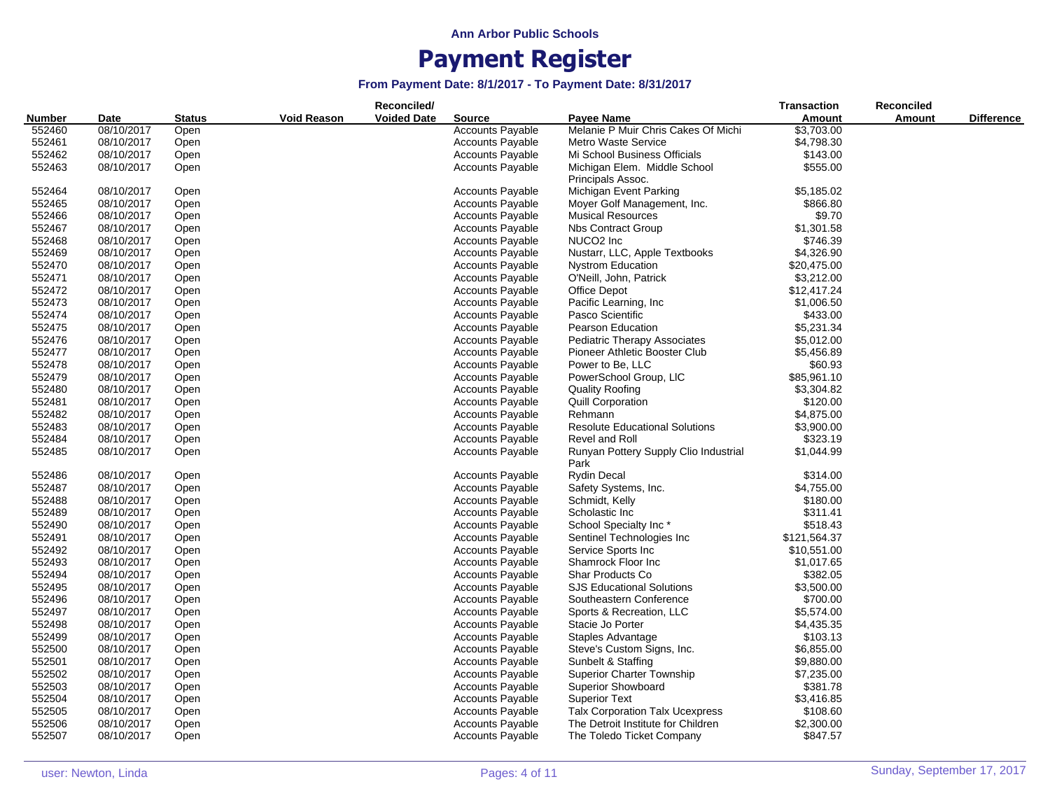|                  |            |        |                    | Reconciled/        |                         |                                        | <b>Transaction</b> | <b>Reconciled</b> |                   |
|------------------|------------|--------|--------------------|--------------------|-------------------------|----------------------------------------|--------------------|-------------------|-------------------|
| Number           | Date       | Status | <b>Void Reason</b> | <b>Voided Date</b> | Source                  | Payee Name                             | Amount             | Amount            | <b>Difference</b> |
| 552460           | 08/10/2017 | Open   |                    |                    | <b>Accounts Payable</b> | Melanie P Muir Chris Cakes Of Michi    | \$3,703.00         |                   |                   |
| 552461           | 08/10/2017 | Open   |                    |                    | <b>Accounts Payable</b> | Metro Waste Service                    | \$4,798.30         |                   |                   |
| 552462           | 08/10/2017 | Open   |                    |                    | <b>Accounts Payable</b> | Mi School Business Officials           | \$143.00           |                   |                   |
| 552463           | 08/10/2017 | Open   |                    |                    | <b>Accounts Payable</b> | Michigan Elem. Middle School           | \$555.00           |                   |                   |
|                  |            |        |                    |                    |                         | Principals Assoc.                      |                    |                   |                   |
| 552464           | 08/10/2017 | Open   |                    |                    | <b>Accounts Payable</b> | Michigan Event Parking                 | \$5,185.02         |                   |                   |
| 552465           | 08/10/2017 | Open   |                    |                    | <b>Accounts Payable</b> | Moyer Golf Management, Inc.            | \$866.80           |                   |                   |
| 552466           | 08/10/2017 | Open   |                    |                    | <b>Accounts Payable</b> | <b>Musical Resources</b>               | \$9.70             |                   |                   |
| 552467           | 08/10/2017 | Open   |                    |                    | <b>Accounts Payable</b> | <b>Nbs Contract Group</b>              | \$1,301.58         |                   |                   |
| 552468           | 08/10/2017 | Open   |                    |                    | <b>Accounts Payable</b> | NUCO <sub>2</sub> Inc                  | \$746.39           |                   |                   |
| 552469           | 08/10/2017 | Open   |                    |                    | <b>Accounts Payable</b> | Nustarr, LLC, Apple Textbooks          | \$4,326.90         |                   |                   |
| 552470           | 08/10/2017 | Open   |                    |                    | <b>Accounts Payable</b> | <b>Nystrom Education</b>               | \$20,475.00        |                   |                   |
| 552471           | 08/10/2017 | Open   |                    |                    | <b>Accounts Payable</b> | O'Neill, John, Patrick                 | \$3,212.00         |                   |                   |
| 552472           | 08/10/2017 | Open   |                    |                    | <b>Accounts Payable</b> | Office Depot                           | \$12,417.24        |                   |                   |
| 552473           | 08/10/2017 | Open   |                    |                    | <b>Accounts Payable</b> | Pacific Learning, Inc.                 | \$1,006.50         |                   |                   |
| 552474           | 08/10/2017 | Open   |                    |                    | <b>Accounts Payable</b> | Pasco Scientific                       | \$433.00           |                   |                   |
| 552475           | 08/10/2017 | Open   |                    |                    | <b>Accounts Payable</b> | <b>Pearson Education</b>               | \$5,231.34         |                   |                   |
| 552476           | 08/10/2017 | Open   |                    |                    | <b>Accounts Payable</b> | <b>Pediatric Therapy Associates</b>    | \$5,012.00         |                   |                   |
| 552477           | 08/10/2017 | Open   |                    |                    | <b>Accounts Payable</b> | Pioneer Athletic Booster Club          | \$5,456.89         |                   |                   |
| 552478           | 08/10/2017 | Open   |                    |                    | <b>Accounts Payable</b> | Power to Be, LLC                       | \$60.93            |                   |                   |
| 552479           | 08/10/2017 | Open   |                    |                    | <b>Accounts Payable</b> | PowerSchool Group, LIC                 | \$85,961.10        |                   |                   |
| 552480           | 08/10/2017 | Open   |                    |                    | <b>Accounts Payable</b> | <b>Quality Roofing</b>                 | \$3,304.82         |                   |                   |
| 552481           | 08/10/2017 | Open   |                    |                    | <b>Accounts Payable</b> | Quill Corporation                      | \$120.00           |                   |                   |
| 552482           | 08/10/2017 | Open   |                    |                    | <b>Accounts Payable</b> | Rehmann                                | \$4,875.00         |                   |                   |
| 552483           | 08/10/2017 | Open   |                    |                    | <b>Accounts Payable</b> | <b>Resolute Educational Solutions</b>  | \$3,900.00         |                   |                   |
| 552484           | 08/10/2017 | Open   |                    |                    | <b>Accounts Payable</b> | Revel and Roll                         | \$323.19           |                   |                   |
| 552485           | 08/10/2017 | Open   |                    |                    | <b>Accounts Payable</b> | Runyan Pottery Supply Clio Industrial  | \$1,044.99         |                   |                   |
|                  |            |        |                    |                    |                         | Park                                   |                    |                   |                   |
| 552486           | 08/10/2017 | Open   |                    |                    | <b>Accounts Payable</b> | <b>Rydin Decal</b>                     | \$314.00           |                   |                   |
| 552487           | 08/10/2017 | Open   |                    |                    | <b>Accounts Payable</b> | Safety Systems, Inc.                   | \$4,755.00         |                   |                   |
| 552488           | 08/10/2017 | Open   |                    |                    | <b>Accounts Payable</b> | Schmidt, Kelly                         | \$180.00           |                   |                   |
| 552489           | 08/10/2017 | Open   |                    |                    | <b>Accounts Payable</b> | Scholastic Inc                         | \$311.41           |                   |                   |
| 552490           | 08/10/2017 | Open   |                    |                    | Accounts Payable        | School Specialty Inc*                  | \$518.43           |                   |                   |
| 552491           | 08/10/2017 | Open   |                    |                    | <b>Accounts Payable</b> | Sentinel Technologies Inc              | \$121,564.37       |                   |                   |
| 552492           | 08/10/2017 | Open   |                    |                    | <b>Accounts Payable</b> | Service Sports Inc                     | \$10,551.00        |                   |                   |
| 552493           | 08/10/2017 | Open   |                    |                    | <b>Accounts Payable</b> | Shamrock Floor Inc                     | \$1,017.65         |                   |                   |
| 552494           | 08/10/2017 | Open   |                    |                    | <b>Accounts Payable</b> | Shar Products Co                       | \$382.05           |                   |                   |
| 552495           | 08/10/2017 | Open   |                    |                    | <b>Accounts Payable</b> | <b>SJS Educational Solutions</b>       | \$3,500.00         |                   |                   |
| 552496           | 08/10/2017 | Open   |                    |                    | <b>Accounts Payable</b> | Southeastern Conference                | \$700.00           |                   |                   |
| 552497           | 08/10/2017 | Open   |                    |                    | <b>Accounts Payable</b> | Sports & Recreation, LLC               | \$5,574.00         |                   |                   |
| 552498           | 08/10/2017 | Open   |                    |                    | <b>Accounts Payable</b> | Stacie Jo Porter                       | \$4,435.35         |                   |                   |
|                  | 08/10/2017 |        |                    |                    | <b>Accounts Payable</b> | Staples Advantage                      | \$103.13           |                   |                   |
| 552499<br>552500 | 08/10/2017 | Open   |                    |                    | <b>Accounts Payable</b> | Steve's Custom Signs, Inc.             | \$6,855.00         |                   |                   |
|                  |            | Open   |                    |                    | <b>Accounts Payable</b> | Sunbelt & Staffing                     |                    |                   |                   |
| 552501           | 08/10/2017 | Open   |                    |                    |                         |                                        | \$9,880.00         |                   |                   |
| 552502           | 08/10/2017 | Open   |                    |                    | <b>Accounts Payable</b> | <b>Superior Charter Township</b>       | \$7,235.00         |                   |                   |
| 552503           | 08/10/2017 | Open   |                    |                    | <b>Accounts Payable</b> | <b>Superior Showboard</b>              | \$381.78           |                   |                   |
| 552504           | 08/10/2017 | Open   |                    |                    | <b>Accounts Payable</b> | <b>Superior Text</b>                   | \$3,416.85         |                   |                   |
| 552505           | 08/10/2017 | Open   |                    |                    | <b>Accounts Payable</b> | <b>Talx Corporation Talx Ucexpress</b> | \$108.60           |                   |                   |
| 552506           | 08/10/2017 | Open   |                    |                    | <b>Accounts Payable</b> | The Detroit Institute for Children     | \$2,300.00         |                   |                   |
| 552507           | 08/10/2017 | Open   |                    |                    | <b>Accounts Payable</b> | The Toledo Ticket Company              | \$847.57           |                   |                   |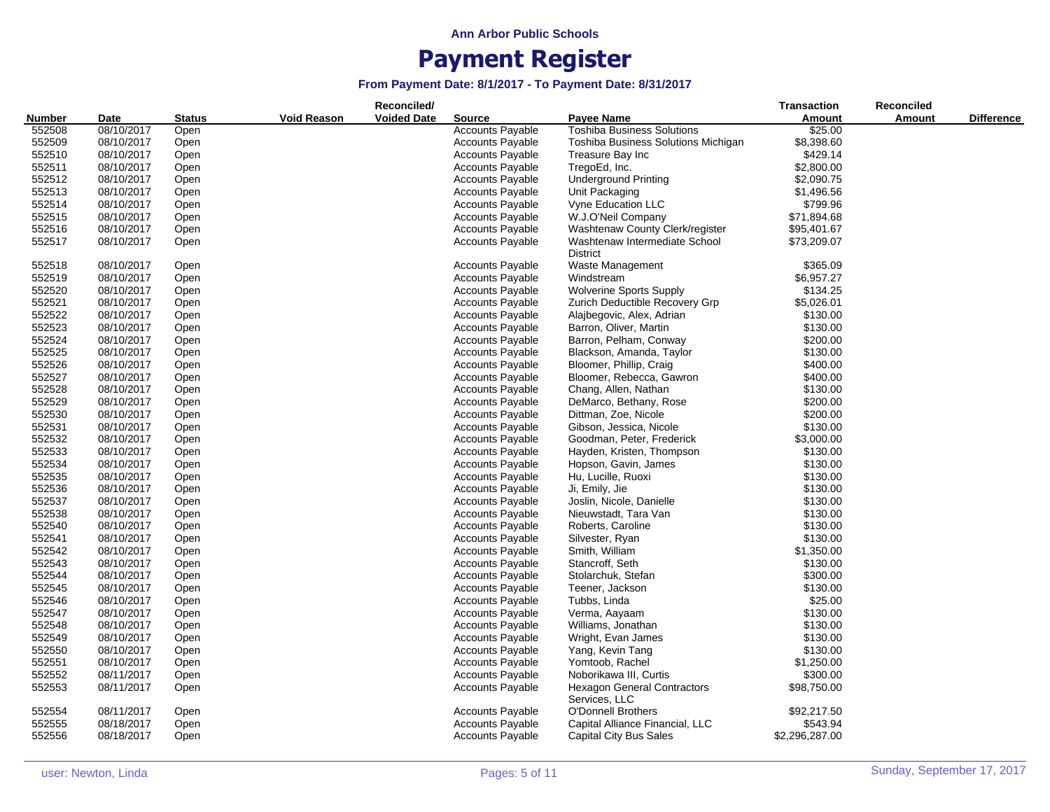|               |            |               |                    | Reconciled/        |                         |                                                     | <b>Transaction</b> | <b>Reconciled</b> |                   |
|---------------|------------|---------------|--------------------|--------------------|-------------------------|-----------------------------------------------------|--------------------|-------------------|-------------------|
| <b>Number</b> | Date       | <b>Status</b> | <b>Void Reason</b> | <b>Voided Date</b> | <b>Source</b>           | <b>Payee Name</b>                                   | Amount             | <b>Amount</b>     | <b>Difference</b> |
| 552508        | 08/10/2017 | Open          |                    |                    | <b>Accounts Payable</b> | <b>Toshiba Business Solutions</b>                   | \$25.00            |                   |                   |
| 552509        | 08/10/2017 | Open          |                    |                    | <b>Accounts Payable</b> | Toshiba Business Solutions Michigan                 | \$8,398.60         |                   |                   |
| 552510        | 08/10/2017 | Open          |                    |                    | <b>Accounts Payable</b> | Treasure Bay Inc                                    | \$429.14           |                   |                   |
| 552511        | 08/10/2017 | Open          |                    |                    | <b>Accounts Payable</b> | TregoEd, Inc.                                       | \$2,800.00         |                   |                   |
| 552512        | 08/10/2017 | Open          |                    |                    | <b>Accounts Payable</b> | <b>Underground Printing</b>                         | \$2,090.75         |                   |                   |
| 552513        | 08/10/2017 | Open          |                    |                    | <b>Accounts Payable</b> | Unit Packaging                                      | \$1,496.56         |                   |                   |
| 552514        | 08/10/2017 | Open          |                    |                    | <b>Accounts Payable</b> | Vyne Education LLC                                  | \$799.96           |                   |                   |
| 552515        | 08/10/2017 | Open          |                    |                    | <b>Accounts Payable</b> | W.J.O'Neil Company                                  | \$71,894.68        |                   |                   |
| 552516        | 08/10/2017 | Open          |                    |                    | <b>Accounts Payable</b> | Washtenaw County Clerk/register                     | \$95,401.67        |                   |                   |
| 552517        | 08/10/2017 | Open          |                    |                    | <b>Accounts Payable</b> | Washtenaw Intermediate School                       | \$73,209.07        |                   |                   |
|               |            |               |                    |                    |                         | <b>District</b>                                     |                    |                   |                   |
| 552518        | 08/10/2017 | Open          |                    |                    | <b>Accounts Payable</b> | Waste Management                                    | \$365.09           |                   |                   |
| 552519        | 08/10/2017 | Open          |                    |                    | <b>Accounts Payable</b> | Windstream                                          | \$6,957.27         |                   |                   |
| 552520        | 08/10/2017 | Open          |                    |                    | <b>Accounts Payable</b> | <b>Wolverine Sports Supply</b>                      | \$134.25           |                   |                   |
| 552521        | 08/10/2017 | Open          |                    |                    | <b>Accounts Payable</b> | Zurich Deductible Recovery Grp                      | \$5,026.01         |                   |                   |
| 552522        | 08/10/2017 | Open          |                    |                    | <b>Accounts Payable</b> | Alajbegovic, Alex, Adrian                           | \$130.00           |                   |                   |
| 552523        | 08/10/2017 | Open          |                    |                    | <b>Accounts Payable</b> | Barron, Oliver, Martin                              | \$130.00           |                   |                   |
| 552524        | 08/10/2017 | Open          |                    |                    | <b>Accounts Payable</b> | Barron, Pelham, Conway                              | \$200.00           |                   |                   |
| 552525        | 08/10/2017 | Open          |                    |                    | <b>Accounts Payable</b> | Blackson, Amanda, Taylor                            | \$130.00           |                   |                   |
| 552526        | 08/10/2017 | Open          |                    |                    | <b>Accounts Payable</b> | Bloomer, Phillip, Craig                             | \$400.00           |                   |                   |
| 552527        | 08/10/2017 | Open          |                    |                    | <b>Accounts Payable</b> | Bloomer, Rebecca, Gawron                            | \$400.00           |                   |                   |
| 552528        | 08/10/2017 | Open          |                    |                    | <b>Accounts Payable</b> | Chang, Allen, Nathan                                | \$130.00           |                   |                   |
| 552529        | 08/10/2017 | Open          |                    |                    | <b>Accounts Payable</b> | DeMarco, Bethany, Rose                              | \$200.00           |                   |                   |
| 552530        | 08/10/2017 | Open          |                    |                    | Accounts Payable        | Dittman, Zoe, Nicole                                | \$200.00           |                   |                   |
| 552531        | 08/10/2017 | Open          |                    |                    | <b>Accounts Payable</b> | Gibson, Jessica, Nicole                             | \$130.00           |                   |                   |
| 552532        | 08/10/2017 | Open          |                    |                    | <b>Accounts Payable</b> | Goodman, Peter, Frederick                           | \$3,000.00         |                   |                   |
| 552533        | 08/10/2017 | Open          |                    |                    | <b>Accounts Payable</b> | Hayden, Kristen, Thompson                           | \$130.00           |                   |                   |
| 552534        | 08/10/2017 | Open          |                    |                    | <b>Accounts Payable</b> | Hopson, Gavin, James                                | \$130.00           |                   |                   |
| 552535        | 08/10/2017 | Open          |                    |                    | <b>Accounts Payable</b> | Hu, Lucille, Ruoxi                                  | \$130.00           |                   |                   |
| 552536        | 08/10/2017 |               |                    |                    | <b>Accounts Payable</b> |                                                     | \$130.00           |                   |                   |
|               |            | Open          |                    |                    |                         | Ji, Emily, Jie                                      | \$130.00           |                   |                   |
| 552537        | 08/10/2017 | Open          |                    |                    | <b>Accounts Payable</b> | Joslin, Nicole, Danielle                            |                    |                   |                   |
| 552538        | 08/10/2017 | Open          |                    |                    | <b>Accounts Payable</b> | Nieuwstadt, Tara Van                                | \$130.00           |                   |                   |
| 552540        | 08/10/2017 | Open          |                    |                    | <b>Accounts Payable</b> | Roberts, Caroline                                   | \$130.00           |                   |                   |
| 552541        | 08/10/2017 | Open          |                    |                    | <b>Accounts Payable</b> | Silvester, Ryan                                     | \$130.00           |                   |                   |
| 552542        | 08/10/2017 | Open          |                    |                    | <b>Accounts Payable</b> | Smith, William                                      | \$1,350.00         |                   |                   |
| 552543        | 08/10/2017 | Open          |                    |                    | <b>Accounts Payable</b> | Stancroff, Seth                                     | \$130.00           |                   |                   |
| 552544        | 08/10/2017 | Open          |                    |                    | <b>Accounts Payable</b> | Stolarchuk, Stefan                                  | \$300.00           |                   |                   |
| 552545        | 08/10/2017 | Open          |                    |                    | <b>Accounts Payable</b> | Teener, Jackson                                     | \$130.00           |                   |                   |
| 552546        | 08/10/2017 | Open          |                    |                    | <b>Accounts Payable</b> | Tubbs, Linda                                        | \$25.00            |                   |                   |
| 552547        | 08/10/2017 | Open          |                    |                    | <b>Accounts Payable</b> | Verma, Aayaam                                       | \$130.00           |                   |                   |
| 552548        | 08/10/2017 | Open          |                    |                    | <b>Accounts Payable</b> | Williams, Jonathan                                  | \$130.00           |                   |                   |
| 552549        | 08/10/2017 | Open          |                    |                    | <b>Accounts Payable</b> | Wright, Evan James                                  | \$130.00           |                   |                   |
| 552550        | 08/10/2017 | Open          |                    |                    | <b>Accounts Payable</b> | Yang, Kevin Tang                                    | \$130.00           |                   |                   |
| 552551        | 08/10/2017 | Open          |                    |                    | <b>Accounts Payable</b> | Yomtoob, Rachel                                     | \$1,250.00         |                   |                   |
| 552552        | 08/11/2017 | Open          |                    |                    | <b>Accounts Payable</b> | Noborikawa III, Curtis                              | \$300.00           |                   |                   |
| 552553        | 08/11/2017 | Open          |                    |                    | <b>Accounts Payable</b> | <b>Hexagon General Contractors</b><br>Services, LLC | \$98,750.00        |                   |                   |
| 552554        | 08/11/2017 | Open          |                    |                    | <b>Accounts Payable</b> | <b>O'Donnell Brothers</b>                           | \$92,217.50        |                   |                   |
| 552555        | 08/18/2017 | Open          |                    |                    | <b>Accounts Payable</b> | Capital Alliance Financial, LLC                     | \$543.94           |                   |                   |
| 552556        | 08/18/2017 | Open          |                    |                    | <b>Accounts Payable</b> | Capital City Bus Sales                              | \$2,296,287.00     |                   |                   |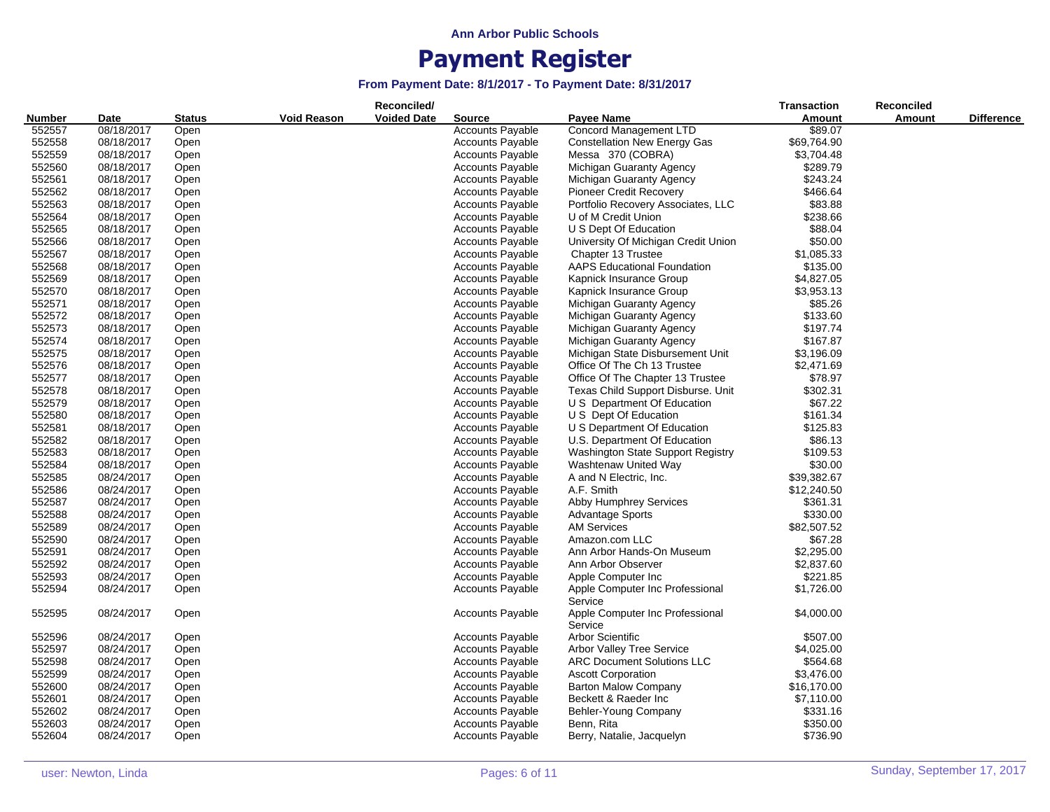| <b>Voided Date</b><br>Payee Name<br>Amount<br>Amount<br><b>Difference</b><br>Date<br><b>Status</b><br><b>Source</b><br>Concord Management LTD<br>552557<br>08/18/2017<br>Open<br><b>Accounts Payable</b><br>\$89.07<br>552558<br>08/18/2017<br><b>Accounts Payable</b><br><b>Constellation New Energy Gas</b><br>\$69,764.90<br>Open<br>552559<br>\$3,704.48<br>08/18/2017<br>Open<br><b>Accounts Payable</b><br>Messa 370 (COBRA)<br>552560<br>\$289.79<br>08/18/2017<br><b>Accounts Payable</b><br>Michigan Guaranty Agency<br>Open<br>552561<br>\$243.24<br>08/18/2017<br><b>Accounts Payable</b><br>Michigan Guaranty Agency<br>Open<br>552562<br>\$466.64<br>08/18/2017<br><b>Accounts Payable</b><br><b>Pioneer Credit Recovery</b><br>Open<br>552563<br>08/18/2017<br><b>Accounts Payable</b><br>Portfolio Recovery Associates, LLC<br>\$83.88<br>Open<br>552564<br><b>Accounts Payable</b><br>U of M Credit Union<br>\$238.66<br>08/18/2017<br>Open<br>552565<br>08/18/2017<br>U S Dept Of Education<br>\$88.04<br><b>Accounts Payable</b><br>Open<br>552566<br>08/18/2017<br><b>Accounts Payable</b><br>\$50.00<br>University Of Michigan Credit Union<br>Open<br>\$1,085.33<br>552567<br>08/18/2017<br><b>Accounts Payable</b><br>Chapter 13 Trustee<br>Open<br>552568<br>08/18/2017<br><b>Accounts Payable</b><br><b>AAPS Educational Foundation</b><br>\$135.00<br>Open<br>552569<br>\$4,827.05<br>08/18/2017<br>Open<br><b>Accounts Payable</b><br>Kapnick Insurance Group<br>552570<br>\$3,953.13<br><b>Accounts Payable</b><br>08/18/2017<br>Open<br>Kapnick Insurance Group<br>552571<br>08/18/2017<br><b>Accounts Payable</b><br>Michigan Guaranty Agency<br>\$85.26<br>Open<br>552572<br>08/18/2017<br>Michigan Guaranty Agency<br>\$133.60<br><b>Accounts Payable</b><br>Open<br>552573<br>\$197.74<br>08/18/2017<br><b>Accounts Payable</b><br>Michigan Guaranty Agency<br>Open<br>552574<br>\$167.87<br>08/18/2017<br><b>Accounts Payable</b><br>Michigan Guaranty Agency<br>Open<br>552575<br>08/18/2017<br>\$3,196.09<br><b>Accounts Payable</b><br>Michigan State Disbursement Unit<br>Open<br>552576<br>08/18/2017<br><b>Accounts Payable</b><br>Office Of The Ch 13 Trustee<br>\$2,471.69<br>Open<br>552577<br>08/18/2017<br><b>Accounts Payable</b><br>Office Of The Chapter 13 Trustee<br>\$78.97<br>Open<br>\$302.31<br>552578<br>08/18/2017<br><b>Accounts Payable</b><br>Texas Child Support Disburse. Unit<br>Open<br>552579<br><b>Accounts Payable</b><br>U S Department Of Education<br>\$67.22<br>08/18/2017<br>Open<br>552580<br>U S Dept Of Education<br>\$161.34<br>08/18/2017<br>Open<br><b>Accounts Payable</b><br>552581<br><b>Accounts Payable</b><br>\$125.83<br>08/18/2017<br>U S Department Of Education<br>Open<br>552582<br>\$86.13<br>08/18/2017<br><b>Accounts Payable</b><br>U.S. Department Of Education<br>Open<br>552583<br>\$109.53<br>08/18/2017<br><b>Accounts Payable</b><br>Washington State Support Registry<br>Open<br>552584<br>08/18/2017<br><b>Accounts Payable</b><br>\$30.00<br>Open<br>Washtenaw United Way<br>552585<br>08/24/2017<br>A and N Electric, Inc.<br>\$39,382.67<br><b>Accounts Payable</b><br>Open<br>552586<br>08/24/2017<br><b>Accounts Payable</b><br>A.F. Smith<br>\$12,240.50<br>Open<br>552587<br>\$361.31<br>08/24/2017<br><b>Accounts Payable</b><br><b>Abby Humphrey Services</b><br>Open<br>552588<br>08/24/2017<br><b>Accounts Payable</b><br>\$330.00<br>Open<br><b>Advantage Sports</b><br>552589<br>\$82,507.52<br>08/24/2017<br>Open<br><b>Accounts Payable</b><br><b>AM Services</b><br>552590<br>Amazon.com LLC<br>\$67.28<br>08/24/2017<br><b>Accounts Payable</b><br>Open<br>552591<br>\$2,295.00<br>08/24/2017<br><b>Accounts Payable</b><br>Ann Arbor Hands-On Museum<br>Open<br>552592<br>\$2,837.60<br>08/24/2017<br><b>Accounts Payable</b><br>Ann Arbor Observer<br>Open<br>\$221.85<br>552593<br>08/24/2017<br><b>Accounts Payable</b><br>Apple Computer Inc<br>Open<br>\$1,726.00<br>552594<br>08/24/2017<br><b>Accounts Payable</b><br>Apple Computer Inc Professional<br>Open<br>Service<br>552595<br><b>Accounts Payable</b><br>Apple Computer Inc Professional<br>\$4,000.00<br>08/24/2017<br>Open<br>Service<br><b>Accounts Payable</b><br>Arbor Scientific<br>552596<br>08/24/2017<br>\$507.00<br>Open<br>\$4,025.00<br>552597<br>08/24/2017<br><b>Arbor Valley Tree Service</b><br>Open<br><b>Accounts Payable</b><br>\$564.68<br>552598<br>08/24/2017<br><b>Accounts Payable</b><br><b>ARC Document Solutions LLC</b><br>Open<br>552599<br>08/24/2017<br><b>Ascott Corporation</b><br>\$3,476.00<br><b>Accounts Payable</b><br>Open<br><b>Barton Malow Company</b><br>552600<br>08/24/2017<br><b>Accounts Payable</b><br>\$16,170.00<br>Open<br>552601<br>08/24/2017<br><b>Accounts Payable</b><br>Beckett & Raeder Inc<br>\$7,110.00<br>Open<br>552602<br>08/24/2017<br>Open<br><b>Accounts Payable</b><br>Behler-Young Company<br>\$331.16<br>552603<br>\$350.00<br>08/24/2017<br><b>Accounts Payable</b><br>Open<br>Benn, Rita<br>552604<br>08/24/2017<br>\$736.90<br><b>Accounts Payable</b><br>Berry, Natalie, Jacquelyn<br>Open |               |  |             | Reconciled/ |  | <b>Transaction</b> | <b>Reconciled</b> |  |
|---------------------------------------------------------------------------------------------------------------------------------------------------------------------------------------------------------------------------------------------------------------------------------------------------------------------------------------------------------------------------------------------------------------------------------------------------------------------------------------------------------------------------------------------------------------------------------------------------------------------------------------------------------------------------------------------------------------------------------------------------------------------------------------------------------------------------------------------------------------------------------------------------------------------------------------------------------------------------------------------------------------------------------------------------------------------------------------------------------------------------------------------------------------------------------------------------------------------------------------------------------------------------------------------------------------------------------------------------------------------------------------------------------------------------------------------------------------------------------------------------------------------------------------------------------------------------------------------------------------------------------------------------------------------------------------------------------------------------------------------------------------------------------------------------------------------------------------------------------------------------------------------------------------------------------------------------------------------------------------------------------------------------------------------------------------------------------------------------------------------------------------------------------------------------------------------------------------------------------------------------------------------------------------------------------------------------------------------------------------------------------------------------------------------------------------------------------------------------------------------------------------------------------------------------------------------------------------------------------------------------------------------------------------------------------------------------------------------------------------------------------------------------------------------------------------------------------------------------------------------------------------------------------------------------------------------------------------------------------------------------------------------------------------------------------------------------------------------------------------------------------------------------------------------------------------------------------------------------------------------------------------------------------------------------------------------------------------------------------------------------------------------------------------------------------------------------------------------------------------------------------------------------------------------------------------------------------------------------------------------------------------------------------------------------------------------------------------------------------------------------------------------------------------------------------------------------------------------------------------------------------------------------------------------------------------------------------------------------------------------------------------------------------------------------------------------------------------------------------------------------------------------------------------------------------------------------------------------------------------------------------------------------------------------------------------------------------------------------------------------------------------------------------------------------------------------------------------------------------------------------------------------------------------------------------------------------------------------------------------------------------------------------------------------------------------------------------------------------------------------------------------------------------------------------------------------------------------------------------------------------------------------------------------------------------------------------------------------------------------------------------------------------------------------------------------------------------------------------------------------------------------------------------|---------------|--|-------------|-------------|--|--------------------|-------------------|--|
|                                                                                                                                                                                                                                                                                                                                                                                                                                                                                                                                                                                                                                                                                                                                                                                                                                                                                                                                                                                                                                                                                                                                                                                                                                                                                                                                                                                                                                                                                                                                                                                                                                                                                                                                                                                                                                                                                                                                                                                                                                                                                                                                                                                                                                                                                                                                                                                                                                                                                                                                                                                                                                                                                                                                                                                                                                                                                                                                                                                                                                                                                                                                                                                                                                                                                                                                                                                                                                                                                                                                                                                                                                                                                                                                                                                                                                                                                                                                                                                                                                                                                                                                                                                                                                                                                                                                                                                                                                                                                                                                                                                                                                                                                                                                                                                                                                                                                                                                                                                                                                                                                                                                                         | <b>Number</b> |  | Void Reason |             |  |                    |                   |  |
|                                                                                                                                                                                                                                                                                                                                                                                                                                                                                                                                                                                                                                                                                                                                                                                                                                                                                                                                                                                                                                                                                                                                                                                                                                                                                                                                                                                                                                                                                                                                                                                                                                                                                                                                                                                                                                                                                                                                                                                                                                                                                                                                                                                                                                                                                                                                                                                                                                                                                                                                                                                                                                                                                                                                                                                                                                                                                                                                                                                                                                                                                                                                                                                                                                                                                                                                                                                                                                                                                                                                                                                                                                                                                                                                                                                                                                                                                                                                                                                                                                                                                                                                                                                                                                                                                                                                                                                                                                                                                                                                                                                                                                                                                                                                                                                                                                                                                                                                                                                                                                                                                                                                                         |               |  |             |             |  |                    |                   |  |
|                                                                                                                                                                                                                                                                                                                                                                                                                                                                                                                                                                                                                                                                                                                                                                                                                                                                                                                                                                                                                                                                                                                                                                                                                                                                                                                                                                                                                                                                                                                                                                                                                                                                                                                                                                                                                                                                                                                                                                                                                                                                                                                                                                                                                                                                                                                                                                                                                                                                                                                                                                                                                                                                                                                                                                                                                                                                                                                                                                                                                                                                                                                                                                                                                                                                                                                                                                                                                                                                                                                                                                                                                                                                                                                                                                                                                                                                                                                                                                                                                                                                                                                                                                                                                                                                                                                                                                                                                                                                                                                                                                                                                                                                                                                                                                                                                                                                                                                                                                                                                                                                                                                                                         |               |  |             |             |  |                    |                   |  |
|                                                                                                                                                                                                                                                                                                                                                                                                                                                                                                                                                                                                                                                                                                                                                                                                                                                                                                                                                                                                                                                                                                                                                                                                                                                                                                                                                                                                                                                                                                                                                                                                                                                                                                                                                                                                                                                                                                                                                                                                                                                                                                                                                                                                                                                                                                                                                                                                                                                                                                                                                                                                                                                                                                                                                                                                                                                                                                                                                                                                                                                                                                                                                                                                                                                                                                                                                                                                                                                                                                                                                                                                                                                                                                                                                                                                                                                                                                                                                                                                                                                                                                                                                                                                                                                                                                                                                                                                                                                                                                                                                                                                                                                                                                                                                                                                                                                                                                                                                                                                                                                                                                                                                         |               |  |             |             |  |                    |                   |  |
|                                                                                                                                                                                                                                                                                                                                                                                                                                                                                                                                                                                                                                                                                                                                                                                                                                                                                                                                                                                                                                                                                                                                                                                                                                                                                                                                                                                                                                                                                                                                                                                                                                                                                                                                                                                                                                                                                                                                                                                                                                                                                                                                                                                                                                                                                                                                                                                                                                                                                                                                                                                                                                                                                                                                                                                                                                                                                                                                                                                                                                                                                                                                                                                                                                                                                                                                                                                                                                                                                                                                                                                                                                                                                                                                                                                                                                                                                                                                                                                                                                                                                                                                                                                                                                                                                                                                                                                                                                                                                                                                                                                                                                                                                                                                                                                                                                                                                                                                                                                                                                                                                                                                                         |               |  |             |             |  |                    |                   |  |
|                                                                                                                                                                                                                                                                                                                                                                                                                                                                                                                                                                                                                                                                                                                                                                                                                                                                                                                                                                                                                                                                                                                                                                                                                                                                                                                                                                                                                                                                                                                                                                                                                                                                                                                                                                                                                                                                                                                                                                                                                                                                                                                                                                                                                                                                                                                                                                                                                                                                                                                                                                                                                                                                                                                                                                                                                                                                                                                                                                                                                                                                                                                                                                                                                                                                                                                                                                                                                                                                                                                                                                                                                                                                                                                                                                                                                                                                                                                                                                                                                                                                                                                                                                                                                                                                                                                                                                                                                                                                                                                                                                                                                                                                                                                                                                                                                                                                                                                                                                                                                                                                                                                                                         |               |  |             |             |  |                    |                   |  |
|                                                                                                                                                                                                                                                                                                                                                                                                                                                                                                                                                                                                                                                                                                                                                                                                                                                                                                                                                                                                                                                                                                                                                                                                                                                                                                                                                                                                                                                                                                                                                                                                                                                                                                                                                                                                                                                                                                                                                                                                                                                                                                                                                                                                                                                                                                                                                                                                                                                                                                                                                                                                                                                                                                                                                                                                                                                                                                                                                                                                                                                                                                                                                                                                                                                                                                                                                                                                                                                                                                                                                                                                                                                                                                                                                                                                                                                                                                                                                                                                                                                                                                                                                                                                                                                                                                                                                                                                                                                                                                                                                                                                                                                                                                                                                                                                                                                                                                                                                                                                                                                                                                                                                         |               |  |             |             |  |                    |                   |  |
|                                                                                                                                                                                                                                                                                                                                                                                                                                                                                                                                                                                                                                                                                                                                                                                                                                                                                                                                                                                                                                                                                                                                                                                                                                                                                                                                                                                                                                                                                                                                                                                                                                                                                                                                                                                                                                                                                                                                                                                                                                                                                                                                                                                                                                                                                                                                                                                                                                                                                                                                                                                                                                                                                                                                                                                                                                                                                                                                                                                                                                                                                                                                                                                                                                                                                                                                                                                                                                                                                                                                                                                                                                                                                                                                                                                                                                                                                                                                                                                                                                                                                                                                                                                                                                                                                                                                                                                                                                                                                                                                                                                                                                                                                                                                                                                                                                                                                                                                                                                                                                                                                                                                                         |               |  |             |             |  |                    |                   |  |
|                                                                                                                                                                                                                                                                                                                                                                                                                                                                                                                                                                                                                                                                                                                                                                                                                                                                                                                                                                                                                                                                                                                                                                                                                                                                                                                                                                                                                                                                                                                                                                                                                                                                                                                                                                                                                                                                                                                                                                                                                                                                                                                                                                                                                                                                                                                                                                                                                                                                                                                                                                                                                                                                                                                                                                                                                                                                                                                                                                                                                                                                                                                                                                                                                                                                                                                                                                                                                                                                                                                                                                                                                                                                                                                                                                                                                                                                                                                                                                                                                                                                                                                                                                                                                                                                                                                                                                                                                                                                                                                                                                                                                                                                                                                                                                                                                                                                                                                                                                                                                                                                                                                                                         |               |  |             |             |  |                    |                   |  |
|                                                                                                                                                                                                                                                                                                                                                                                                                                                                                                                                                                                                                                                                                                                                                                                                                                                                                                                                                                                                                                                                                                                                                                                                                                                                                                                                                                                                                                                                                                                                                                                                                                                                                                                                                                                                                                                                                                                                                                                                                                                                                                                                                                                                                                                                                                                                                                                                                                                                                                                                                                                                                                                                                                                                                                                                                                                                                                                                                                                                                                                                                                                                                                                                                                                                                                                                                                                                                                                                                                                                                                                                                                                                                                                                                                                                                                                                                                                                                                                                                                                                                                                                                                                                                                                                                                                                                                                                                                                                                                                                                                                                                                                                                                                                                                                                                                                                                                                                                                                                                                                                                                                                                         |               |  |             |             |  |                    |                   |  |
|                                                                                                                                                                                                                                                                                                                                                                                                                                                                                                                                                                                                                                                                                                                                                                                                                                                                                                                                                                                                                                                                                                                                                                                                                                                                                                                                                                                                                                                                                                                                                                                                                                                                                                                                                                                                                                                                                                                                                                                                                                                                                                                                                                                                                                                                                                                                                                                                                                                                                                                                                                                                                                                                                                                                                                                                                                                                                                                                                                                                                                                                                                                                                                                                                                                                                                                                                                                                                                                                                                                                                                                                                                                                                                                                                                                                                                                                                                                                                                                                                                                                                                                                                                                                                                                                                                                                                                                                                                                                                                                                                                                                                                                                                                                                                                                                                                                                                                                                                                                                                                                                                                                                                         |               |  |             |             |  |                    |                   |  |
|                                                                                                                                                                                                                                                                                                                                                                                                                                                                                                                                                                                                                                                                                                                                                                                                                                                                                                                                                                                                                                                                                                                                                                                                                                                                                                                                                                                                                                                                                                                                                                                                                                                                                                                                                                                                                                                                                                                                                                                                                                                                                                                                                                                                                                                                                                                                                                                                                                                                                                                                                                                                                                                                                                                                                                                                                                                                                                                                                                                                                                                                                                                                                                                                                                                                                                                                                                                                                                                                                                                                                                                                                                                                                                                                                                                                                                                                                                                                                                                                                                                                                                                                                                                                                                                                                                                                                                                                                                                                                                                                                                                                                                                                                                                                                                                                                                                                                                                                                                                                                                                                                                                                                         |               |  |             |             |  |                    |                   |  |
|                                                                                                                                                                                                                                                                                                                                                                                                                                                                                                                                                                                                                                                                                                                                                                                                                                                                                                                                                                                                                                                                                                                                                                                                                                                                                                                                                                                                                                                                                                                                                                                                                                                                                                                                                                                                                                                                                                                                                                                                                                                                                                                                                                                                                                                                                                                                                                                                                                                                                                                                                                                                                                                                                                                                                                                                                                                                                                                                                                                                                                                                                                                                                                                                                                                                                                                                                                                                                                                                                                                                                                                                                                                                                                                                                                                                                                                                                                                                                                                                                                                                                                                                                                                                                                                                                                                                                                                                                                                                                                                                                                                                                                                                                                                                                                                                                                                                                                                                                                                                                                                                                                                                                         |               |  |             |             |  |                    |                   |  |
|                                                                                                                                                                                                                                                                                                                                                                                                                                                                                                                                                                                                                                                                                                                                                                                                                                                                                                                                                                                                                                                                                                                                                                                                                                                                                                                                                                                                                                                                                                                                                                                                                                                                                                                                                                                                                                                                                                                                                                                                                                                                                                                                                                                                                                                                                                                                                                                                                                                                                                                                                                                                                                                                                                                                                                                                                                                                                                                                                                                                                                                                                                                                                                                                                                                                                                                                                                                                                                                                                                                                                                                                                                                                                                                                                                                                                                                                                                                                                                                                                                                                                                                                                                                                                                                                                                                                                                                                                                                                                                                                                                                                                                                                                                                                                                                                                                                                                                                                                                                                                                                                                                                                                         |               |  |             |             |  |                    |                   |  |
|                                                                                                                                                                                                                                                                                                                                                                                                                                                                                                                                                                                                                                                                                                                                                                                                                                                                                                                                                                                                                                                                                                                                                                                                                                                                                                                                                                                                                                                                                                                                                                                                                                                                                                                                                                                                                                                                                                                                                                                                                                                                                                                                                                                                                                                                                                                                                                                                                                                                                                                                                                                                                                                                                                                                                                                                                                                                                                                                                                                                                                                                                                                                                                                                                                                                                                                                                                                                                                                                                                                                                                                                                                                                                                                                                                                                                                                                                                                                                                                                                                                                                                                                                                                                                                                                                                                                                                                                                                                                                                                                                                                                                                                                                                                                                                                                                                                                                                                                                                                                                                                                                                                                                         |               |  |             |             |  |                    |                   |  |
|                                                                                                                                                                                                                                                                                                                                                                                                                                                                                                                                                                                                                                                                                                                                                                                                                                                                                                                                                                                                                                                                                                                                                                                                                                                                                                                                                                                                                                                                                                                                                                                                                                                                                                                                                                                                                                                                                                                                                                                                                                                                                                                                                                                                                                                                                                                                                                                                                                                                                                                                                                                                                                                                                                                                                                                                                                                                                                                                                                                                                                                                                                                                                                                                                                                                                                                                                                                                                                                                                                                                                                                                                                                                                                                                                                                                                                                                                                                                                                                                                                                                                                                                                                                                                                                                                                                                                                                                                                                                                                                                                                                                                                                                                                                                                                                                                                                                                                                                                                                                                                                                                                                                                         |               |  |             |             |  |                    |                   |  |
|                                                                                                                                                                                                                                                                                                                                                                                                                                                                                                                                                                                                                                                                                                                                                                                                                                                                                                                                                                                                                                                                                                                                                                                                                                                                                                                                                                                                                                                                                                                                                                                                                                                                                                                                                                                                                                                                                                                                                                                                                                                                                                                                                                                                                                                                                                                                                                                                                                                                                                                                                                                                                                                                                                                                                                                                                                                                                                                                                                                                                                                                                                                                                                                                                                                                                                                                                                                                                                                                                                                                                                                                                                                                                                                                                                                                                                                                                                                                                                                                                                                                                                                                                                                                                                                                                                                                                                                                                                                                                                                                                                                                                                                                                                                                                                                                                                                                                                                                                                                                                                                                                                                                                         |               |  |             |             |  |                    |                   |  |
|                                                                                                                                                                                                                                                                                                                                                                                                                                                                                                                                                                                                                                                                                                                                                                                                                                                                                                                                                                                                                                                                                                                                                                                                                                                                                                                                                                                                                                                                                                                                                                                                                                                                                                                                                                                                                                                                                                                                                                                                                                                                                                                                                                                                                                                                                                                                                                                                                                                                                                                                                                                                                                                                                                                                                                                                                                                                                                                                                                                                                                                                                                                                                                                                                                                                                                                                                                                                                                                                                                                                                                                                                                                                                                                                                                                                                                                                                                                                                                                                                                                                                                                                                                                                                                                                                                                                                                                                                                                                                                                                                                                                                                                                                                                                                                                                                                                                                                                                                                                                                                                                                                                                                         |               |  |             |             |  |                    |                   |  |
|                                                                                                                                                                                                                                                                                                                                                                                                                                                                                                                                                                                                                                                                                                                                                                                                                                                                                                                                                                                                                                                                                                                                                                                                                                                                                                                                                                                                                                                                                                                                                                                                                                                                                                                                                                                                                                                                                                                                                                                                                                                                                                                                                                                                                                                                                                                                                                                                                                                                                                                                                                                                                                                                                                                                                                                                                                                                                                                                                                                                                                                                                                                                                                                                                                                                                                                                                                                                                                                                                                                                                                                                                                                                                                                                                                                                                                                                                                                                                                                                                                                                                                                                                                                                                                                                                                                                                                                                                                                                                                                                                                                                                                                                                                                                                                                                                                                                                                                                                                                                                                                                                                                                                         |               |  |             |             |  |                    |                   |  |
|                                                                                                                                                                                                                                                                                                                                                                                                                                                                                                                                                                                                                                                                                                                                                                                                                                                                                                                                                                                                                                                                                                                                                                                                                                                                                                                                                                                                                                                                                                                                                                                                                                                                                                                                                                                                                                                                                                                                                                                                                                                                                                                                                                                                                                                                                                                                                                                                                                                                                                                                                                                                                                                                                                                                                                                                                                                                                                                                                                                                                                                                                                                                                                                                                                                                                                                                                                                                                                                                                                                                                                                                                                                                                                                                                                                                                                                                                                                                                                                                                                                                                                                                                                                                                                                                                                                                                                                                                                                                                                                                                                                                                                                                                                                                                                                                                                                                                                                                                                                                                                                                                                                                                         |               |  |             |             |  |                    |                   |  |
|                                                                                                                                                                                                                                                                                                                                                                                                                                                                                                                                                                                                                                                                                                                                                                                                                                                                                                                                                                                                                                                                                                                                                                                                                                                                                                                                                                                                                                                                                                                                                                                                                                                                                                                                                                                                                                                                                                                                                                                                                                                                                                                                                                                                                                                                                                                                                                                                                                                                                                                                                                                                                                                                                                                                                                                                                                                                                                                                                                                                                                                                                                                                                                                                                                                                                                                                                                                                                                                                                                                                                                                                                                                                                                                                                                                                                                                                                                                                                                                                                                                                                                                                                                                                                                                                                                                                                                                                                                                                                                                                                                                                                                                                                                                                                                                                                                                                                                                                                                                                                                                                                                                                                         |               |  |             |             |  |                    |                   |  |
|                                                                                                                                                                                                                                                                                                                                                                                                                                                                                                                                                                                                                                                                                                                                                                                                                                                                                                                                                                                                                                                                                                                                                                                                                                                                                                                                                                                                                                                                                                                                                                                                                                                                                                                                                                                                                                                                                                                                                                                                                                                                                                                                                                                                                                                                                                                                                                                                                                                                                                                                                                                                                                                                                                                                                                                                                                                                                                                                                                                                                                                                                                                                                                                                                                                                                                                                                                                                                                                                                                                                                                                                                                                                                                                                                                                                                                                                                                                                                                                                                                                                                                                                                                                                                                                                                                                                                                                                                                                                                                                                                                                                                                                                                                                                                                                                                                                                                                                                                                                                                                                                                                                                                         |               |  |             |             |  |                    |                   |  |
|                                                                                                                                                                                                                                                                                                                                                                                                                                                                                                                                                                                                                                                                                                                                                                                                                                                                                                                                                                                                                                                                                                                                                                                                                                                                                                                                                                                                                                                                                                                                                                                                                                                                                                                                                                                                                                                                                                                                                                                                                                                                                                                                                                                                                                                                                                                                                                                                                                                                                                                                                                                                                                                                                                                                                                                                                                                                                                                                                                                                                                                                                                                                                                                                                                                                                                                                                                                                                                                                                                                                                                                                                                                                                                                                                                                                                                                                                                                                                                                                                                                                                                                                                                                                                                                                                                                                                                                                                                                                                                                                                                                                                                                                                                                                                                                                                                                                                                                                                                                                                                                                                                                                                         |               |  |             |             |  |                    |                   |  |
|                                                                                                                                                                                                                                                                                                                                                                                                                                                                                                                                                                                                                                                                                                                                                                                                                                                                                                                                                                                                                                                                                                                                                                                                                                                                                                                                                                                                                                                                                                                                                                                                                                                                                                                                                                                                                                                                                                                                                                                                                                                                                                                                                                                                                                                                                                                                                                                                                                                                                                                                                                                                                                                                                                                                                                                                                                                                                                                                                                                                                                                                                                                                                                                                                                                                                                                                                                                                                                                                                                                                                                                                                                                                                                                                                                                                                                                                                                                                                                                                                                                                                                                                                                                                                                                                                                                                                                                                                                                                                                                                                                                                                                                                                                                                                                                                                                                                                                                                                                                                                                                                                                                                                         |               |  |             |             |  |                    |                   |  |
|                                                                                                                                                                                                                                                                                                                                                                                                                                                                                                                                                                                                                                                                                                                                                                                                                                                                                                                                                                                                                                                                                                                                                                                                                                                                                                                                                                                                                                                                                                                                                                                                                                                                                                                                                                                                                                                                                                                                                                                                                                                                                                                                                                                                                                                                                                                                                                                                                                                                                                                                                                                                                                                                                                                                                                                                                                                                                                                                                                                                                                                                                                                                                                                                                                                                                                                                                                                                                                                                                                                                                                                                                                                                                                                                                                                                                                                                                                                                                                                                                                                                                                                                                                                                                                                                                                                                                                                                                                                                                                                                                                                                                                                                                                                                                                                                                                                                                                                                                                                                                                                                                                                                                         |               |  |             |             |  |                    |                   |  |
|                                                                                                                                                                                                                                                                                                                                                                                                                                                                                                                                                                                                                                                                                                                                                                                                                                                                                                                                                                                                                                                                                                                                                                                                                                                                                                                                                                                                                                                                                                                                                                                                                                                                                                                                                                                                                                                                                                                                                                                                                                                                                                                                                                                                                                                                                                                                                                                                                                                                                                                                                                                                                                                                                                                                                                                                                                                                                                                                                                                                                                                                                                                                                                                                                                                                                                                                                                                                                                                                                                                                                                                                                                                                                                                                                                                                                                                                                                                                                                                                                                                                                                                                                                                                                                                                                                                                                                                                                                                                                                                                                                                                                                                                                                                                                                                                                                                                                                                                                                                                                                                                                                                                                         |               |  |             |             |  |                    |                   |  |
|                                                                                                                                                                                                                                                                                                                                                                                                                                                                                                                                                                                                                                                                                                                                                                                                                                                                                                                                                                                                                                                                                                                                                                                                                                                                                                                                                                                                                                                                                                                                                                                                                                                                                                                                                                                                                                                                                                                                                                                                                                                                                                                                                                                                                                                                                                                                                                                                                                                                                                                                                                                                                                                                                                                                                                                                                                                                                                                                                                                                                                                                                                                                                                                                                                                                                                                                                                                                                                                                                                                                                                                                                                                                                                                                                                                                                                                                                                                                                                                                                                                                                                                                                                                                                                                                                                                                                                                                                                                                                                                                                                                                                                                                                                                                                                                                                                                                                                                                                                                                                                                                                                                                                         |               |  |             |             |  |                    |                   |  |
|                                                                                                                                                                                                                                                                                                                                                                                                                                                                                                                                                                                                                                                                                                                                                                                                                                                                                                                                                                                                                                                                                                                                                                                                                                                                                                                                                                                                                                                                                                                                                                                                                                                                                                                                                                                                                                                                                                                                                                                                                                                                                                                                                                                                                                                                                                                                                                                                                                                                                                                                                                                                                                                                                                                                                                                                                                                                                                                                                                                                                                                                                                                                                                                                                                                                                                                                                                                                                                                                                                                                                                                                                                                                                                                                                                                                                                                                                                                                                                                                                                                                                                                                                                                                                                                                                                                                                                                                                                                                                                                                                                                                                                                                                                                                                                                                                                                                                                                                                                                                                                                                                                                                                         |               |  |             |             |  |                    |                   |  |
|                                                                                                                                                                                                                                                                                                                                                                                                                                                                                                                                                                                                                                                                                                                                                                                                                                                                                                                                                                                                                                                                                                                                                                                                                                                                                                                                                                                                                                                                                                                                                                                                                                                                                                                                                                                                                                                                                                                                                                                                                                                                                                                                                                                                                                                                                                                                                                                                                                                                                                                                                                                                                                                                                                                                                                                                                                                                                                                                                                                                                                                                                                                                                                                                                                                                                                                                                                                                                                                                                                                                                                                                                                                                                                                                                                                                                                                                                                                                                                                                                                                                                                                                                                                                                                                                                                                                                                                                                                                                                                                                                                                                                                                                                                                                                                                                                                                                                                                                                                                                                                                                                                                                                         |               |  |             |             |  |                    |                   |  |
|                                                                                                                                                                                                                                                                                                                                                                                                                                                                                                                                                                                                                                                                                                                                                                                                                                                                                                                                                                                                                                                                                                                                                                                                                                                                                                                                                                                                                                                                                                                                                                                                                                                                                                                                                                                                                                                                                                                                                                                                                                                                                                                                                                                                                                                                                                                                                                                                                                                                                                                                                                                                                                                                                                                                                                                                                                                                                                                                                                                                                                                                                                                                                                                                                                                                                                                                                                                                                                                                                                                                                                                                                                                                                                                                                                                                                                                                                                                                                                                                                                                                                                                                                                                                                                                                                                                                                                                                                                                                                                                                                                                                                                                                                                                                                                                                                                                                                                                                                                                                                                                                                                                                                         |               |  |             |             |  |                    |                   |  |
|                                                                                                                                                                                                                                                                                                                                                                                                                                                                                                                                                                                                                                                                                                                                                                                                                                                                                                                                                                                                                                                                                                                                                                                                                                                                                                                                                                                                                                                                                                                                                                                                                                                                                                                                                                                                                                                                                                                                                                                                                                                                                                                                                                                                                                                                                                                                                                                                                                                                                                                                                                                                                                                                                                                                                                                                                                                                                                                                                                                                                                                                                                                                                                                                                                                                                                                                                                                                                                                                                                                                                                                                                                                                                                                                                                                                                                                                                                                                                                                                                                                                                                                                                                                                                                                                                                                                                                                                                                                                                                                                                                                                                                                                                                                                                                                                                                                                                                                                                                                                                                                                                                                                                         |               |  |             |             |  |                    |                   |  |
|                                                                                                                                                                                                                                                                                                                                                                                                                                                                                                                                                                                                                                                                                                                                                                                                                                                                                                                                                                                                                                                                                                                                                                                                                                                                                                                                                                                                                                                                                                                                                                                                                                                                                                                                                                                                                                                                                                                                                                                                                                                                                                                                                                                                                                                                                                                                                                                                                                                                                                                                                                                                                                                                                                                                                                                                                                                                                                                                                                                                                                                                                                                                                                                                                                                                                                                                                                                                                                                                                                                                                                                                                                                                                                                                                                                                                                                                                                                                                                                                                                                                                                                                                                                                                                                                                                                                                                                                                                                                                                                                                                                                                                                                                                                                                                                                                                                                                                                                                                                                                                                                                                                                                         |               |  |             |             |  |                    |                   |  |
|                                                                                                                                                                                                                                                                                                                                                                                                                                                                                                                                                                                                                                                                                                                                                                                                                                                                                                                                                                                                                                                                                                                                                                                                                                                                                                                                                                                                                                                                                                                                                                                                                                                                                                                                                                                                                                                                                                                                                                                                                                                                                                                                                                                                                                                                                                                                                                                                                                                                                                                                                                                                                                                                                                                                                                                                                                                                                                                                                                                                                                                                                                                                                                                                                                                                                                                                                                                                                                                                                                                                                                                                                                                                                                                                                                                                                                                                                                                                                                                                                                                                                                                                                                                                                                                                                                                                                                                                                                                                                                                                                                                                                                                                                                                                                                                                                                                                                                                                                                                                                                                                                                                                                         |               |  |             |             |  |                    |                   |  |
|                                                                                                                                                                                                                                                                                                                                                                                                                                                                                                                                                                                                                                                                                                                                                                                                                                                                                                                                                                                                                                                                                                                                                                                                                                                                                                                                                                                                                                                                                                                                                                                                                                                                                                                                                                                                                                                                                                                                                                                                                                                                                                                                                                                                                                                                                                                                                                                                                                                                                                                                                                                                                                                                                                                                                                                                                                                                                                                                                                                                                                                                                                                                                                                                                                                                                                                                                                                                                                                                                                                                                                                                                                                                                                                                                                                                                                                                                                                                                                                                                                                                                                                                                                                                                                                                                                                                                                                                                                                                                                                                                                                                                                                                                                                                                                                                                                                                                                                                                                                                                                                                                                                                                         |               |  |             |             |  |                    |                   |  |
|                                                                                                                                                                                                                                                                                                                                                                                                                                                                                                                                                                                                                                                                                                                                                                                                                                                                                                                                                                                                                                                                                                                                                                                                                                                                                                                                                                                                                                                                                                                                                                                                                                                                                                                                                                                                                                                                                                                                                                                                                                                                                                                                                                                                                                                                                                                                                                                                                                                                                                                                                                                                                                                                                                                                                                                                                                                                                                                                                                                                                                                                                                                                                                                                                                                                                                                                                                                                                                                                                                                                                                                                                                                                                                                                                                                                                                                                                                                                                                                                                                                                                                                                                                                                                                                                                                                                                                                                                                                                                                                                                                                                                                                                                                                                                                                                                                                                                                                                                                                                                                                                                                                                                         |               |  |             |             |  |                    |                   |  |
|                                                                                                                                                                                                                                                                                                                                                                                                                                                                                                                                                                                                                                                                                                                                                                                                                                                                                                                                                                                                                                                                                                                                                                                                                                                                                                                                                                                                                                                                                                                                                                                                                                                                                                                                                                                                                                                                                                                                                                                                                                                                                                                                                                                                                                                                                                                                                                                                                                                                                                                                                                                                                                                                                                                                                                                                                                                                                                                                                                                                                                                                                                                                                                                                                                                                                                                                                                                                                                                                                                                                                                                                                                                                                                                                                                                                                                                                                                                                                                                                                                                                                                                                                                                                                                                                                                                                                                                                                                                                                                                                                                                                                                                                                                                                                                                                                                                                                                                                                                                                                                                                                                                                                         |               |  |             |             |  |                    |                   |  |
|                                                                                                                                                                                                                                                                                                                                                                                                                                                                                                                                                                                                                                                                                                                                                                                                                                                                                                                                                                                                                                                                                                                                                                                                                                                                                                                                                                                                                                                                                                                                                                                                                                                                                                                                                                                                                                                                                                                                                                                                                                                                                                                                                                                                                                                                                                                                                                                                                                                                                                                                                                                                                                                                                                                                                                                                                                                                                                                                                                                                                                                                                                                                                                                                                                                                                                                                                                                                                                                                                                                                                                                                                                                                                                                                                                                                                                                                                                                                                                                                                                                                                                                                                                                                                                                                                                                                                                                                                                                                                                                                                                                                                                                                                                                                                                                                                                                                                                                                                                                                                                                                                                                                                         |               |  |             |             |  |                    |                   |  |
|                                                                                                                                                                                                                                                                                                                                                                                                                                                                                                                                                                                                                                                                                                                                                                                                                                                                                                                                                                                                                                                                                                                                                                                                                                                                                                                                                                                                                                                                                                                                                                                                                                                                                                                                                                                                                                                                                                                                                                                                                                                                                                                                                                                                                                                                                                                                                                                                                                                                                                                                                                                                                                                                                                                                                                                                                                                                                                                                                                                                                                                                                                                                                                                                                                                                                                                                                                                                                                                                                                                                                                                                                                                                                                                                                                                                                                                                                                                                                                                                                                                                                                                                                                                                                                                                                                                                                                                                                                                                                                                                                                                                                                                                                                                                                                                                                                                                                                                                                                                                                                                                                                                                                         |               |  |             |             |  |                    |                   |  |
|                                                                                                                                                                                                                                                                                                                                                                                                                                                                                                                                                                                                                                                                                                                                                                                                                                                                                                                                                                                                                                                                                                                                                                                                                                                                                                                                                                                                                                                                                                                                                                                                                                                                                                                                                                                                                                                                                                                                                                                                                                                                                                                                                                                                                                                                                                                                                                                                                                                                                                                                                                                                                                                                                                                                                                                                                                                                                                                                                                                                                                                                                                                                                                                                                                                                                                                                                                                                                                                                                                                                                                                                                                                                                                                                                                                                                                                                                                                                                                                                                                                                                                                                                                                                                                                                                                                                                                                                                                                                                                                                                                                                                                                                                                                                                                                                                                                                                                                                                                                                                                                                                                                                                         |               |  |             |             |  |                    |                   |  |
|                                                                                                                                                                                                                                                                                                                                                                                                                                                                                                                                                                                                                                                                                                                                                                                                                                                                                                                                                                                                                                                                                                                                                                                                                                                                                                                                                                                                                                                                                                                                                                                                                                                                                                                                                                                                                                                                                                                                                                                                                                                                                                                                                                                                                                                                                                                                                                                                                                                                                                                                                                                                                                                                                                                                                                                                                                                                                                                                                                                                                                                                                                                                                                                                                                                                                                                                                                                                                                                                                                                                                                                                                                                                                                                                                                                                                                                                                                                                                                                                                                                                                                                                                                                                                                                                                                                                                                                                                                                                                                                                                                                                                                                                                                                                                                                                                                                                                                                                                                                                                                                                                                                                                         |               |  |             |             |  |                    |                   |  |
|                                                                                                                                                                                                                                                                                                                                                                                                                                                                                                                                                                                                                                                                                                                                                                                                                                                                                                                                                                                                                                                                                                                                                                                                                                                                                                                                                                                                                                                                                                                                                                                                                                                                                                                                                                                                                                                                                                                                                                                                                                                                                                                                                                                                                                                                                                                                                                                                                                                                                                                                                                                                                                                                                                                                                                                                                                                                                                                                                                                                                                                                                                                                                                                                                                                                                                                                                                                                                                                                                                                                                                                                                                                                                                                                                                                                                                                                                                                                                                                                                                                                                                                                                                                                                                                                                                                                                                                                                                                                                                                                                                                                                                                                                                                                                                                                                                                                                                                                                                                                                                                                                                                                                         |               |  |             |             |  |                    |                   |  |
|                                                                                                                                                                                                                                                                                                                                                                                                                                                                                                                                                                                                                                                                                                                                                                                                                                                                                                                                                                                                                                                                                                                                                                                                                                                                                                                                                                                                                                                                                                                                                                                                                                                                                                                                                                                                                                                                                                                                                                                                                                                                                                                                                                                                                                                                                                                                                                                                                                                                                                                                                                                                                                                                                                                                                                                                                                                                                                                                                                                                                                                                                                                                                                                                                                                                                                                                                                                                                                                                                                                                                                                                                                                                                                                                                                                                                                                                                                                                                                                                                                                                                                                                                                                                                                                                                                                                                                                                                                                                                                                                                                                                                                                                                                                                                                                                                                                                                                                                                                                                                                                                                                                                                         |               |  |             |             |  |                    |                   |  |
|                                                                                                                                                                                                                                                                                                                                                                                                                                                                                                                                                                                                                                                                                                                                                                                                                                                                                                                                                                                                                                                                                                                                                                                                                                                                                                                                                                                                                                                                                                                                                                                                                                                                                                                                                                                                                                                                                                                                                                                                                                                                                                                                                                                                                                                                                                                                                                                                                                                                                                                                                                                                                                                                                                                                                                                                                                                                                                                                                                                                                                                                                                                                                                                                                                                                                                                                                                                                                                                                                                                                                                                                                                                                                                                                                                                                                                                                                                                                                                                                                                                                                                                                                                                                                                                                                                                                                                                                                                                                                                                                                                                                                                                                                                                                                                                                                                                                                                                                                                                                                                                                                                                                                         |               |  |             |             |  |                    |                   |  |
|                                                                                                                                                                                                                                                                                                                                                                                                                                                                                                                                                                                                                                                                                                                                                                                                                                                                                                                                                                                                                                                                                                                                                                                                                                                                                                                                                                                                                                                                                                                                                                                                                                                                                                                                                                                                                                                                                                                                                                                                                                                                                                                                                                                                                                                                                                                                                                                                                                                                                                                                                                                                                                                                                                                                                                                                                                                                                                                                                                                                                                                                                                                                                                                                                                                                                                                                                                                                                                                                                                                                                                                                                                                                                                                                                                                                                                                                                                                                                                                                                                                                                                                                                                                                                                                                                                                                                                                                                                                                                                                                                                                                                                                                                                                                                                                                                                                                                                                                                                                                                                                                                                                                                         |               |  |             |             |  |                    |                   |  |
|                                                                                                                                                                                                                                                                                                                                                                                                                                                                                                                                                                                                                                                                                                                                                                                                                                                                                                                                                                                                                                                                                                                                                                                                                                                                                                                                                                                                                                                                                                                                                                                                                                                                                                                                                                                                                                                                                                                                                                                                                                                                                                                                                                                                                                                                                                                                                                                                                                                                                                                                                                                                                                                                                                                                                                                                                                                                                                                                                                                                                                                                                                                                                                                                                                                                                                                                                                                                                                                                                                                                                                                                                                                                                                                                                                                                                                                                                                                                                                                                                                                                                                                                                                                                                                                                                                                                                                                                                                                                                                                                                                                                                                                                                                                                                                                                                                                                                                                                                                                                                                                                                                                                                         |               |  |             |             |  |                    |                   |  |
|                                                                                                                                                                                                                                                                                                                                                                                                                                                                                                                                                                                                                                                                                                                                                                                                                                                                                                                                                                                                                                                                                                                                                                                                                                                                                                                                                                                                                                                                                                                                                                                                                                                                                                                                                                                                                                                                                                                                                                                                                                                                                                                                                                                                                                                                                                                                                                                                                                                                                                                                                                                                                                                                                                                                                                                                                                                                                                                                                                                                                                                                                                                                                                                                                                                                                                                                                                                                                                                                                                                                                                                                                                                                                                                                                                                                                                                                                                                                                                                                                                                                                                                                                                                                                                                                                                                                                                                                                                                                                                                                                                                                                                                                                                                                                                                                                                                                                                                                                                                                                                                                                                                                                         |               |  |             |             |  |                    |                   |  |
|                                                                                                                                                                                                                                                                                                                                                                                                                                                                                                                                                                                                                                                                                                                                                                                                                                                                                                                                                                                                                                                                                                                                                                                                                                                                                                                                                                                                                                                                                                                                                                                                                                                                                                                                                                                                                                                                                                                                                                                                                                                                                                                                                                                                                                                                                                                                                                                                                                                                                                                                                                                                                                                                                                                                                                                                                                                                                                                                                                                                                                                                                                                                                                                                                                                                                                                                                                                                                                                                                                                                                                                                                                                                                                                                                                                                                                                                                                                                                                                                                                                                                                                                                                                                                                                                                                                                                                                                                                                                                                                                                                                                                                                                                                                                                                                                                                                                                                                                                                                                                                                                                                                                                         |               |  |             |             |  |                    |                   |  |
|                                                                                                                                                                                                                                                                                                                                                                                                                                                                                                                                                                                                                                                                                                                                                                                                                                                                                                                                                                                                                                                                                                                                                                                                                                                                                                                                                                                                                                                                                                                                                                                                                                                                                                                                                                                                                                                                                                                                                                                                                                                                                                                                                                                                                                                                                                                                                                                                                                                                                                                                                                                                                                                                                                                                                                                                                                                                                                                                                                                                                                                                                                                                                                                                                                                                                                                                                                                                                                                                                                                                                                                                                                                                                                                                                                                                                                                                                                                                                                                                                                                                                                                                                                                                                                                                                                                                                                                                                                                                                                                                                                                                                                                                                                                                                                                                                                                                                                                                                                                                                                                                                                                                                         |               |  |             |             |  |                    |                   |  |
|                                                                                                                                                                                                                                                                                                                                                                                                                                                                                                                                                                                                                                                                                                                                                                                                                                                                                                                                                                                                                                                                                                                                                                                                                                                                                                                                                                                                                                                                                                                                                                                                                                                                                                                                                                                                                                                                                                                                                                                                                                                                                                                                                                                                                                                                                                                                                                                                                                                                                                                                                                                                                                                                                                                                                                                                                                                                                                                                                                                                                                                                                                                                                                                                                                                                                                                                                                                                                                                                                                                                                                                                                                                                                                                                                                                                                                                                                                                                                                                                                                                                                                                                                                                                                                                                                                                                                                                                                                                                                                                                                                                                                                                                                                                                                                                                                                                                                                                                                                                                                                                                                                                                                         |               |  |             |             |  |                    |                   |  |
|                                                                                                                                                                                                                                                                                                                                                                                                                                                                                                                                                                                                                                                                                                                                                                                                                                                                                                                                                                                                                                                                                                                                                                                                                                                                                                                                                                                                                                                                                                                                                                                                                                                                                                                                                                                                                                                                                                                                                                                                                                                                                                                                                                                                                                                                                                                                                                                                                                                                                                                                                                                                                                                                                                                                                                                                                                                                                                                                                                                                                                                                                                                                                                                                                                                                                                                                                                                                                                                                                                                                                                                                                                                                                                                                                                                                                                                                                                                                                                                                                                                                                                                                                                                                                                                                                                                                                                                                                                                                                                                                                                                                                                                                                                                                                                                                                                                                                                                                                                                                                                                                                                                                                         |               |  |             |             |  |                    |                   |  |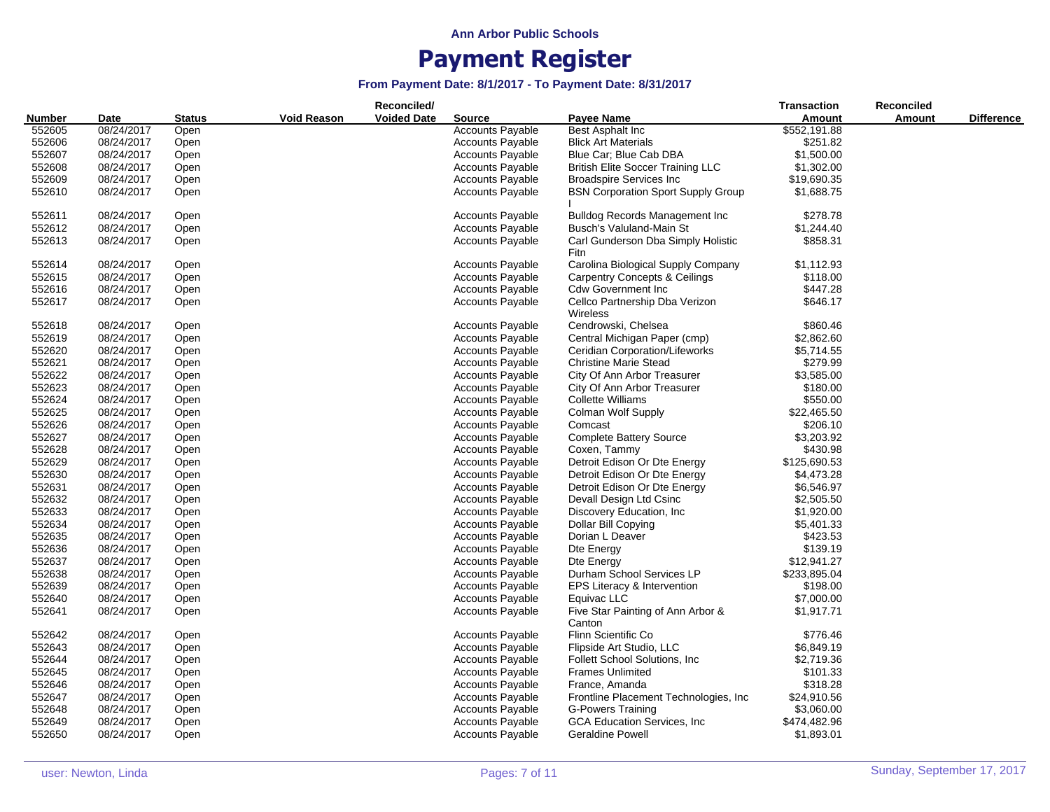|               |            |               |             | Reconciled/        |                         |                                            | <b>Transaction</b> | Reconciled |                   |
|---------------|------------|---------------|-------------|--------------------|-------------------------|--------------------------------------------|--------------------|------------|-------------------|
| <b>Number</b> | Date       | <b>Status</b> | Void Reason | <b>Voided Date</b> | <b>Source</b>           | <b>Payee Name</b>                          | Amount             | Amount     | <b>Difference</b> |
| 552605        | 08/24/2017 | Open          |             |                    | <b>Accounts Payable</b> | Best Asphalt Inc                           | \$552,191.88       |            |                   |
| 552606        | 08/24/2017 | Open          |             |                    | <b>Accounts Payable</b> | <b>Blick Art Materials</b>                 | \$251.82           |            |                   |
| 552607        | 08/24/2017 | Open          |             |                    | <b>Accounts Payable</b> | Blue Car; Blue Cab DBA                     | \$1,500.00         |            |                   |
| 552608        | 08/24/2017 | Open          |             |                    | <b>Accounts Payable</b> | <b>British Elite Soccer Training LLC</b>   | \$1,302.00         |            |                   |
| 552609        | 08/24/2017 | Open          |             |                    | <b>Accounts Payable</b> | <b>Broadspire Services Inc</b>             | \$19,690.35        |            |                   |
| 552610        | 08/24/2017 | Open          |             |                    | <b>Accounts Payable</b> | <b>BSN Corporation Sport Supply Group</b>  | \$1,688.75         |            |                   |
| 552611        | 08/24/2017 | Open          |             |                    | <b>Accounts Payable</b> | <b>Bulldog Records Management Inc.</b>     | \$278.78           |            |                   |
| 552612        | 08/24/2017 | Open          |             |                    | <b>Accounts Payable</b> | Busch's Valuland-Main St                   | \$1,244.40         |            |                   |
| 552613        | 08/24/2017 | Open          |             |                    | Accounts Payable        | Carl Gunderson Dba Simply Holistic<br>Fitn | \$858.31           |            |                   |
| 552614        | 08/24/2017 | Open          |             |                    | <b>Accounts Payable</b> | Carolina Biological Supply Company         | \$1,112.93         |            |                   |
| 552615        | 08/24/2017 | Open          |             |                    | Accounts Payable        | <b>Carpentry Concepts &amp; Ceilings</b>   | \$118.00           |            |                   |
| 552616        | 08/24/2017 | Open          |             |                    | <b>Accounts Payable</b> | <b>Cdw Government Inc.</b>                 | \$447.28           |            |                   |
| 552617        | 08/24/2017 | Open          |             |                    | <b>Accounts Payable</b> | Cellco Partnership Dba Verizon             | \$646.17           |            |                   |
|               |            |               |             |                    |                         | Wireless                                   |                    |            |                   |
| 552618        | 08/24/2017 | Open          |             |                    | <b>Accounts Payable</b> | Cendrowski, Chelsea                        | \$860.46           |            |                   |
| 552619        | 08/24/2017 | Open          |             |                    | <b>Accounts Payable</b> | Central Michigan Paper (cmp)               | \$2,862.60         |            |                   |
| 552620        | 08/24/2017 | Open          |             |                    | <b>Accounts Payable</b> | Ceridian Corporation/Lifeworks             | \$5,714.55         |            |                   |
| 552621        | 08/24/2017 | Open          |             |                    | <b>Accounts Payable</b> | <b>Christine Marie Stead</b>               | \$279.99           |            |                   |
| 552622        | 08/24/2017 | Open          |             |                    | <b>Accounts Payable</b> | City Of Ann Arbor Treasurer                | \$3,585.00         |            |                   |
| 552623        | 08/24/2017 | Open          |             |                    | <b>Accounts Payable</b> | City Of Ann Arbor Treasurer                | \$180.00           |            |                   |
| 552624        | 08/24/2017 | Open          |             |                    | <b>Accounts Payable</b> | Collette Williams                          | \$550.00           |            |                   |
| 552625        | 08/24/2017 | Open          |             |                    | Accounts Payable        | Colman Wolf Supply                         | \$22,465.50        |            |                   |
| 552626        | 08/24/2017 | Open          |             |                    | <b>Accounts Payable</b> | Comcast                                    | \$206.10           |            |                   |
| 552627        | 08/24/2017 | Open          |             |                    | <b>Accounts Payable</b> | <b>Complete Battery Source</b>             | \$3,203.92         |            |                   |
| 552628        | 08/24/2017 | Open          |             |                    | <b>Accounts Payable</b> | Coxen, Tammy                               | \$430.98           |            |                   |
| 552629        | 08/24/2017 | Open          |             |                    | <b>Accounts Payable</b> | Detroit Edison Or Dte Energy               | \$125,690.53       |            |                   |
| 552630        | 08/24/2017 | Open          |             |                    | <b>Accounts Payable</b> | Detroit Edison Or Dte Energy               | \$4,473.28         |            |                   |
| 552631        | 08/24/2017 | Open          |             |                    | <b>Accounts Payable</b> | Detroit Edison Or Dte Energy               | \$6,546.97         |            |                   |
| 552632        | 08/24/2017 | Open          |             |                    | <b>Accounts Payable</b> | Devall Design Ltd Csinc                    | \$2,505.50         |            |                   |
| 552633        | 08/24/2017 | Open          |             |                    | <b>Accounts Payable</b> | Discovery Education, Inc.                  | \$1,920.00         |            |                   |
| 552634        | 08/24/2017 | Open          |             |                    | <b>Accounts Payable</b> | Dollar Bill Copying                        | \$5,401.33         |            |                   |
| 552635        | 08/24/2017 | Open          |             |                    | <b>Accounts Payable</b> | Dorian L Deaver                            | \$423.53           |            |                   |
| 552636        | 08/24/2017 | Open          |             |                    | Accounts Payable        | Dte Energy                                 | \$139.19           |            |                   |
| 552637        | 08/24/2017 | Open          |             |                    | <b>Accounts Payable</b> | Dte Energy                                 | \$12,941.27        |            |                   |
| 552638        | 08/24/2017 | Open          |             |                    | <b>Accounts Payable</b> | Durham School Services LP                  | \$233,895.04       |            |                   |
| 552639        | 08/24/2017 | Open          |             |                    | <b>Accounts Payable</b> | EPS Literacy & Intervention                | \$198.00           |            |                   |
| 552640        | 08/24/2017 | Open          |             |                    | <b>Accounts Payable</b> | Equivac LLC                                | \$7,000.00         |            |                   |
| 552641        | 08/24/2017 | Open          |             |                    | <b>Accounts Payable</b> | Five Star Painting of Ann Arbor &          | \$1,917.71         |            |                   |
|               |            |               |             |                    |                         | Canton                                     |                    |            |                   |
| 552642        | 08/24/2017 | Open          |             |                    | <b>Accounts Payable</b> | Flinn Scientific Co                        | \$776.46           |            |                   |
| 552643        | 08/24/2017 | Open          |             |                    | <b>Accounts Payable</b> | Flipside Art Studio, LLC                   | \$6,849.19         |            |                   |
| 552644        | 08/24/2017 | Open          |             |                    | <b>Accounts Payable</b> | Follett School Solutions, Inc.             | \$2,719.36         |            |                   |
| 552645        | 08/24/2017 | Open          |             |                    | Accounts Payable        | <b>Frames Unlimited</b>                    | \$101.33           |            |                   |
| 552646        | 08/24/2017 | Open          |             |                    | Accounts Payable        | France, Amanda                             | \$318.28           |            |                   |
| 552647        | 08/24/2017 | Open          |             |                    | <b>Accounts Payable</b> | Frontline Placement Technologies, Inc.     | \$24,910.56        |            |                   |
| 552648        | 08/24/2017 | Open          |             |                    | <b>Accounts Payable</b> | G-Powers Training                          | \$3,060.00         |            |                   |
| 552649        | 08/24/2017 | Open          |             |                    | <b>Accounts Payable</b> | <b>GCA Education Services, Inc.</b>        | \$474,482.96       |            |                   |
| 552650        | 08/24/2017 | Open          |             |                    | <b>Accounts Payable</b> | <b>Geraldine Powell</b>                    | \$1,893.01         |            |                   |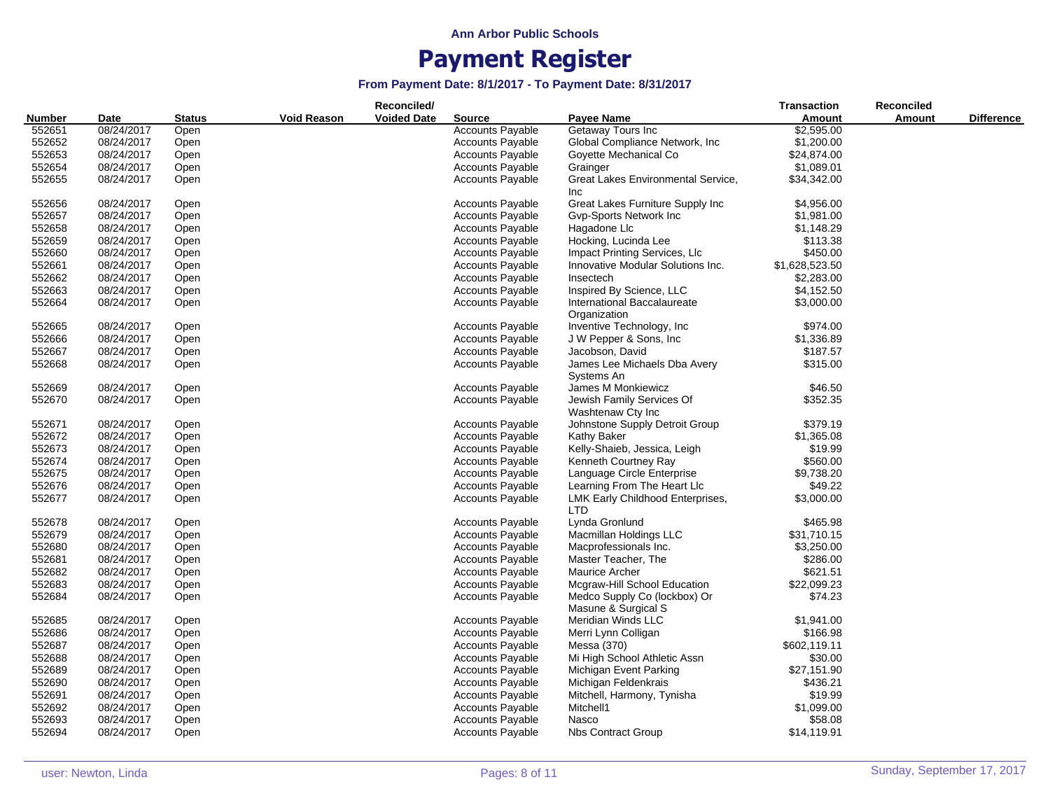|               |            |               |                    | Reconciled/        |                         |                                    | <b>Transaction</b> | Reconciled    |                   |
|---------------|------------|---------------|--------------------|--------------------|-------------------------|------------------------------------|--------------------|---------------|-------------------|
| <b>Number</b> | Date       | <b>Status</b> | <b>Void Reason</b> | <b>Voided Date</b> | <b>Source</b>           | Payee Name                         | Amount             | <b>Amount</b> | <b>Difference</b> |
| 552651        | 08/24/2017 | Open          |                    |                    | <b>Accounts Payable</b> | Getaway Tours Inc                  | \$2,595.00         |               |                   |
| 552652        | 08/24/2017 | Open          |                    |                    | <b>Accounts Payable</b> | Global Compliance Network, Inc.    | \$1,200.00         |               |                   |
| 552653        | 08/24/2017 | Open          |                    |                    | <b>Accounts Payable</b> | Goyette Mechanical Co              | \$24,874.00        |               |                   |
| 552654        | 08/24/2017 | Open          |                    |                    | <b>Accounts Payable</b> | Grainger                           | \$1,089.01         |               |                   |
| 552655        | 08/24/2017 | Open          |                    |                    | <b>Accounts Payable</b> | Great Lakes Environmental Service, | \$34,342.00        |               |                   |
|               |            |               |                    |                    |                         | <b>Inc</b>                         |                    |               |                   |
| 552656        | 08/24/2017 | Open          |                    |                    | <b>Accounts Payable</b> | Great Lakes Furniture Supply Inc   | \$4,956.00         |               |                   |
| 552657        | 08/24/2017 | Open          |                    |                    | <b>Accounts Payable</b> | Gvp-Sports Network Inc             | \$1,981.00         |               |                   |
| 552658        | 08/24/2017 | Open          |                    |                    | <b>Accounts Payable</b> | Hagadone Llc                       | \$1,148.29         |               |                   |
| 552659        | 08/24/2017 |               |                    |                    | <b>Accounts Payable</b> | Hocking, Lucinda Lee               | \$113.38           |               |                   |
|               |            | Open          |                    |                    |                         |                                    |                    |               |                   |
| 552660        | 08/24/2017 | Open          |                    |                    | <b>Accounts Payable</b> | Impact Printing Services, LIc      | \$450.00           |               |                   |
| 552661        | 08/24/2017 | Open          |                    |                    | <b>Accounts Payable</b> | Innovative Modular Solutions Inc.  | \$1,628,523.50     |               |                   |
| 552662        | 08/24/2017 | Open          |                    |                    | <b>Accounts Payable</b> | Insectech                          | \$2,283.00         |               |                   |
| 552663        | 08/24/2017 | Open          |                    |                    | <b>Accounts Payable</b> | Inspired By Science, LLC           | \$4,152.50         |               |                   |
| 552664        | 08/24/2017 | Open          |                    |                    | <b>Accounts Payable</b> | International Baccalaureate        | \$3,000.00         |               |                   |
|               |            |               |                    |                    |                         | Organization                       |                    |               |                   |
| 552665        | 08/24/2017 | Open          |                    |                    | <b>Accounts Payable</b> | Inventive Technology, Inc.         | \$974.00           |               |                   |
| 552666        | 08/24/2017 | Open          |                    |                    | <b>Accounts Payable</b> | J W Pepper & Sons, Inc             | \$1,336.89         |               |                   |
| 552667        | 08/24/2017 | Open          |                    |                    | <b>Accounts Payable</b> | Jacobson, David                    | \$187.57           |               |                   |
| 552668        | 08/24/2017 | Open          |                    |                    | <b>Accounts Payable</b> | James Lee Michaels Dba Avery       | \$315.00           |               |                   |
|               |            |               |                    |                    |                         | Systems An                         |                    |               |                   |
| 552669        | 08/24/2017 | Open          |                    |                    | <b>Accounts Payable</b> | James M Monkiewicz                 | \$46.50            |               |                   |
| 552670        | 08/24/2017 | Open          |                    |                    | <b>Accounts Payable</b> | Jewish Family Services Of          | \$352.35           |               |                   |
|               |            |               |                    |                    |                         | Washtenaw Cty Inc                  |                    |               |                   |
| 552671        | 08/24/2017 | Open          |                    |                    | <b>Accounts Payable</b> | Johnstone Supply Detroit Group     | \$379.19           |               |                   |
| 552672        | 08/24/2017 | Open          |                    |                    | <b>Accounts Payable</b> | Kathy Baker                        | \$1,365.08         |               |                   |
| 552673        | 08/24/2017 | Open          |                    |                    | <b>Accounts Payable</b> | Kelly-Shaieb, Jessica, Leigh       | \$19.99            |               |                   |
| 552674        | 08/24/2017 | Open          |                    |                    | <b>Accounts Payable</b> | Kenneth Courtney Ray               | \$560.00           |               |                   |
| 552675        | 08/24/2017 | Open          |                    |                    | <b>Accounts Payable</b> | Language Circle Enterprise         | \$9,738.20         |               |                   |
| 552676        | 08/24/2017 | Open          |                    |                    | <b>Accounts Payable</b> | Learning From The Heart Llc        | \$49.22            |               |                   |
| 552677        | 08/24/2017 | Open          |                    |                    | <b>Accounts Payable</b> | LMK Early Childhood Enterprises,   | \$3,000.00         |               |                   |
|               |            |               |                    |                    |                         | <b>LTD</b>                         |                    |               |                   |
| 552678        | 08/24/2017 | Open          |                    |                    | <b>Accounts Payable</b> | Lynda Gronlund                     | \$465.98           |               |                   |
| 552679        | 08/24/2017 | Open          |                    |                    | <b>Accounts Payable</b> | Macmillan Holdings LLC             | \$31,710.15        |               |                   |
| 552680        | 08/24/2017 | Open          |                    |                    | <b>Accounts Payable</b> | Macprofessionals Inc.              | \$3,250.00         |               |                   |
| 552681        | 08/24/2017 | Open          |                    |                    | <b>Accounts Payable</b> | Master Teacher, The                | \$286.00           |               |                   |
| 552682        |            |               |                    |                    |                         |                                    | \$621.51           |               |                   |
|               | 08/24/2017 | Open          |                    |                    | <b>Accounts Payable</b> | Maurice Archer                     |                    |               |                   |
| 552683        | 08/24/2017 | Open          |                    |                    | <b>Accounts Payable</b> | Mcgraw-Hill School Education       | \$22,099.23        |               |                   |
| 552684        | 08/24/2017 | Open          |                    |                    | <b>Accounts Payable</b> | Medco Supply Co (lockbox) Or       | \$74.23            |               |                   |
|               |            |               |                    |                    |                         | Masune & Surgical S                |                    |               |                   |
| 552685        | 08/24/2017 | Open          |                    |                    | <b>Accounts Payable</b> | Meridian Winds LLC                 | \$1,941.00         |               |                   |
| 552686        | 08/24/2017 | Open          |                    |                    | <b>Accounts Payable</b> | Merri Lynn Colligan                | \$166.98           |               |                   |
| 552687        | 08/24/2017 | Open          |                    |                    | <b>Accounts Payable</b> | Messa (370)                        | \$602,119.11       |               |                   |
| 552688        | 08/24/2017 | Open          |                    |                    | <b>Accounts Payable</b> | Mi High School Athletic Assn       | \$30.00            |               |                   |
| 552689        | 08/24/2017 | Open          |                    |                    | <b>Accounts Payable</b> | Michigan Event Parking             | \$27,151.90        |               |                   |
| 552690        | 08/24/2017 | Open          |                    |                    | <b>Accounts Payable</b> | Michigan Feldenkrais               | \$436.21           |               |                   |
| 552691        | 08/24/2017 | Open          |                    |                    | <b>Accounts Payable</b> | Mitchell, Harmony, Tynisha         | \$19.99            |               |                   |
| 552692        | 08/24/2017 | Open          |                    |                    | <b>Accounts Payable</b> | Mitchell1                          | \$1,099.00         |               |                   |
| 552693        | 08/24/2017 | Open          |                    |                    | <b>Accounts Payable</b> | Nasco                              | \$58.08            |               |                   |
| 552694        | 08/24/2017 | Open          |                    |                    | <b>Accounts Payable</b> | <b>Nbs Contract Group</b>          | \$14,119.91        |               |                   |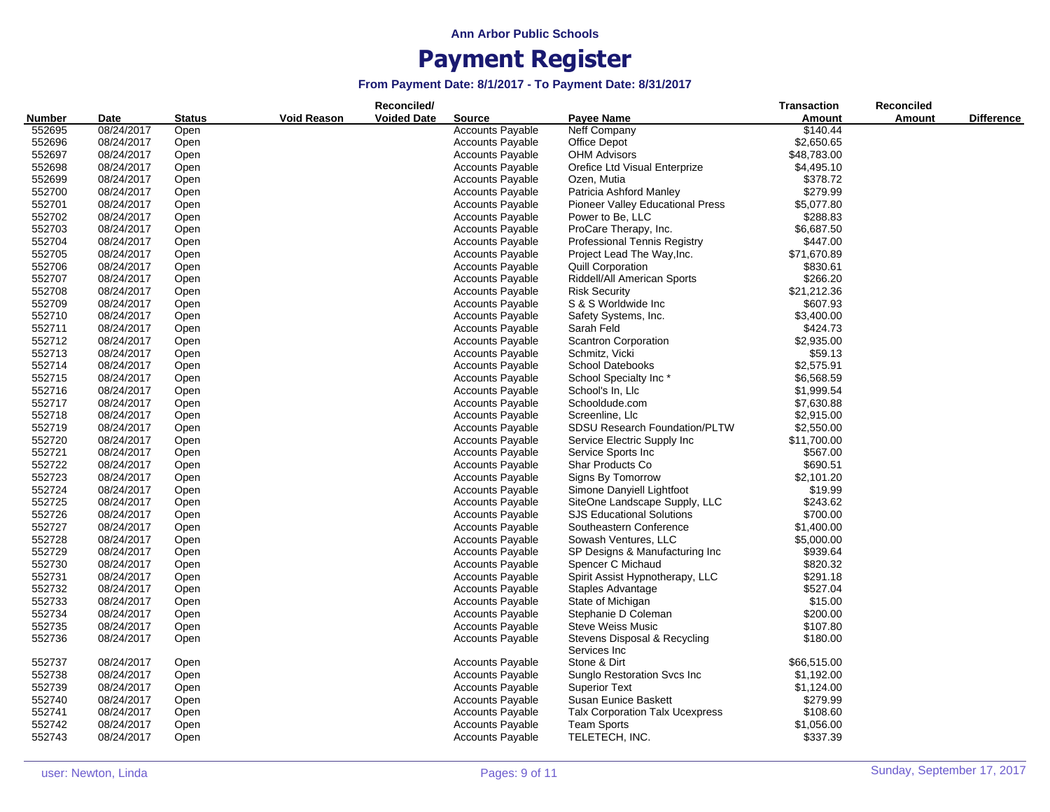|               |                          |               |                    | Reconciled/        | <b>Transaction</b>      | <b>Reconciled</b>                           |             |        |                   |
|---------------|--------------------------|---------------|--------------------|--------------------|-------------------------|---------------------------------------------|-------------|--------|-------------------|
| <b>Number</b> | Date                     | <b>Status</b> | <b>Void Reason</b> | <b>Voided Date</b> | <b>Source</b>           | <b>Payee Name</b>                           | Amount      | Amount | <b>Difference</b> |
| 552695        | 08/24/2017               | Open          |                    |                    | <b>Accounts Payable</b> | Neff Company                                | \$140.44    |        |                   |
| 552696        | 08/24/2017               | Open          |                    |                    | <b>Accounts Payable</b> | Office Depot                                | \$2,650.65  |        |                   |
| 552697        | 08/24/2017               | Open          |                    |                    | <b>Accounts Payable</b> | <b>OHM Advisors</b>                         | \$48,783.00 |        |                   |
| 552698        | 08/24/2017               | Open          |                    |                    | <b>Accounts Payable</b> | Orefice Ltd Visual Enterprize               | \$4,495.10  |        |                   |
| 552699        | 08/24/2017               | Open          |                    |                    | <b>Accounts Payable</b> | Ozen, Mutia                                 | \$378.72    |        |                   |
| 552700        | 08/24/2017               | Open          |                    |                    | <b>Accounts Payable</b> | Patricia Ashford Manley                     | \$279.99    |        |                   |
| 552701        | 08/24/2017               | Open          |                    |                    | <b>Accounts Payable</b> | <b>Pioneer Valley Educational Press</b>     | \$5,077.80  |        |                   |
| 552702        | 08/24/2017               | Open          |                    |                    | <b>Accounts Payable</b> | Power to Be, LLC                            | \$288.83    |        |                   |
| 552703        | 08/24/2017               | Open          |                    |                    | <b>Accounts Payable</b> | ProCare Therapy, Inc.                       | \$6,687.50  |        |                   |
| 552704        | 08/24/2017               | Open          |                    |                    | <b>Accounts Payable</b> | <b>Professional Tennis Registry</b>         | \$447.00    |        |                   |
| 552705        | 08/24/2017               | Open          |                    |                    | <b>Accounts Payable</b> | Project Lead The Way, Inc.                  | \$71,670.89 |        |                   |
| 552706        | 08/24/2017               |               |                    |                    | <b>Accounts Payable</b> | Quill Corporation                           | \$830.61    |        |                   |
| 552707        | 08/24/2017               | Open<br>Open  |                    |                    | <b>Accounts Payable</b> | Riddell/All American Sports                 | \$266.20    |        |                   |
| 552708        |                          |               |                    |                    |                         |                                             | \$21,212.36 |        |                   |
|               | 08/24/2017<br>08/24/2017 | Open          |                    |                    | <b>Accounts Payable</b> | <b>Risk Security</b><br>S & S Worldwide Inc |             |        |                   |
| 552709        |                          | Open          |                    |                    | <b>Accounts Payable</b> |                                             | \$607.93    |        |                   |
| 552710        | 08/24/2017               | Open          |                    |                    | <b>Accounts Payable</b> | Safety Systems, Inc.                        | \$3,400.00  |        |                   |
| 552711        | 08/24/2017               | Open          |                    |                    | <b>Accounts Payable</b> | Sarah Feld                                  | \$424.73    |        |                   |
| 552712        | 08/24/2017               | Open          |                    |                    | <b>Accounts Payable</b> | <b>Scantron Corporation</b>                 | \$2,935.00  |        |                   |
| 552713        | 08/24/2017               | Open          |                    |                    | <b>Accounts Payable</b> | Schmitz, Vicki                              | \$59.13     |        |                   |
| 552714        | 08/24/2017               | Open          |                    |                    | <b>Accounts Payable</b> | <b>School Datebooks</b>                     | \$2,575.91  |        |                   |
| 552715        | 08/24/2017               | Open          |                    |                    | <b>Accounts Payable</b> | School Specialty Inc*                       | \$6,568.59  |        |                   |
| 552716        | 08/24/2017               | Open          |                    |                    | <b>Accounts Payable</b> | School's In, Llc                            | \$1,999.54  |        |                   |
| 552717        | 08/24/2017               | Open          |                    |                    | Accounts Payable        | Schooldude.com                              | \$7,630.88  |        |                   |
| 552718        | 08/24/2017               | Open          |                    |                    | <b>Accounts Payable</b> | Screenline, Llc                             | \$2,915.00  |        |                   |
| 552719        | 08/24/2017               | Open          |                    |                    | <b>Accounts Payable</b> | <b>SDSU Research Foundation/PLTW</b>        | \$2,550.00  |        |                   |
| 552720        | 08/24/2017               | Open          |                    |                    | <b>Accounts Payable</b> | Service Electric Supply Inc                 | \$11,700.00 |        |                   |
| 552721        | 08/24/2017               | Open          |                    |                    | <b>Accounts Payable</b> | Service Sports Inc                          | \$567.00    |        |                   |
| 552722        | 08/24/2017               | Open          |                    |                    | <b>Accounts Payable</b> | Shar Products Co                            | \$690.51    |        |                   |
| 552723        | 08/24/2017               | Open          |                    |                    | <b>Accounts Payable</b> | Signs By Tomorrow                           | \$2,101.20  |        |                   |
| 552724        | 08/24/2017               | Open          |                    |                    | <b>Accounts Payable</b> | Simone Danyiell Lightfoot                   | \$19.99     |        |                   |
| 552725        | 08/24/2017               | Open          |                    |                    | <b>Accounts Payable</b> | SiteOne Landscape Supply, LLC               | \$243.62    |        |                   |
| 552726        | 08/24/2017               | Open          |                    |                    | Accounts Payable        | <b>SJS Educational Solutions</b>            | \$700.00    |        |                   |
| 552727        | 08/24/2017               | Open          |                    |                    | <b>Accounts Payable</b> | Southeastern Conference                     | \$1,400.00  |        |                   |
| 552728        | 08/24/2017               | Open          |                    |                    | <b>Accounts Payable</b> | Sowash Ventures, LLC                        | \$5,000.00  |        |                   |
| 552729        | 08/24/2017               | Open          |                    |                    | <b>Accounts Payable</b> | SP Designs & Manufacturing Inc              | \$939.64    |        |                   |
| 552730        | 08/24/2017               | Open          |                    |                    | <b>Accounts Payable</b> | Spencer C Michaud                           | \$820.32    |        |                   |
| 552731        | 08/24/2017               | Open          |                    |                    | <b>Accounts Payable</b> | Spirit Assist Hypnotherapy, LLC             | \$291.18    |        |                   |
| 552732        | 08/24/2017               | Open          |                    |                    | <b>Accounts Payable</b> | Staples Advantage                           | \$527.04    |        |                   |
| 552733        | 08/24/2017               | Open          |                    |                    | <b>Accounts Payable</b> | State of Michigan                           | \$15.00     |        |                   |
| 552734        | 08/24/2017               | Open          |                    |                    | <b>Accounts Payable</b> | Stephanie D Coleman                         | \$200.00    |        |                   |
| 552735        | 08/24/2017               | Open          |                    |                    | <b>Accounts Payable</b> | <b>Steve Weiss Music</b>                    | \$107.80    |        |                   |
| 552736        | 08/24/2017               | Open          |                    |                    | <b>Accounts Payable</b> | Stevens Disposal & Recycling                | \$180.00    |        |                   |
|               |                          |               |                    |                    |                         | Services Inc                                |             |        |                   |
| 552737        | 08/24/2017               | Open          |                    |                    | <b>Accounts Payable</b> | Stone & Dirt                                | \$66,515.00 |        |                   |
| 552738        | 08/24/2017               | Open          |                    |                    | <b>Accounts Payable</b> | Sunglo Restoration Svcs Inc.                | \$1,192.00  |        |                   |
| 552739        | 08/24/2017               | Open          |                    |                    | <b>Accounts Payable</b> | <b>Superior Text</b>                        | \$1,124.00  |        |                   |
| 552740        | 08/24/2017               | Open          |                    |                    | <b>Accounts Payable</b> | Susan Eunice Baskett                        | \$279.99    |        |                   |
| 552741        | 08/24/2017               | Open          |                    |                    | <b>Accounts Payable</b> | <b>Talx Corporation Talx Ucexpress</b>      | \$108.60    |        |                   |
| 552742        | 08/24/2017               | Open          |                    |                    | <b>Accounts Payable</b> | <b>Team Sports</b>                          | \$1,056.00  |        |                   |
| 552743        | 08/24/2017               | Open          |                    |                    | <b>Accounts Payable</b> | TELETECH, INC.                              | \$337.39    |        |                   |
|               |                          |               |                    |                    |                         |                                             |             |        |                   |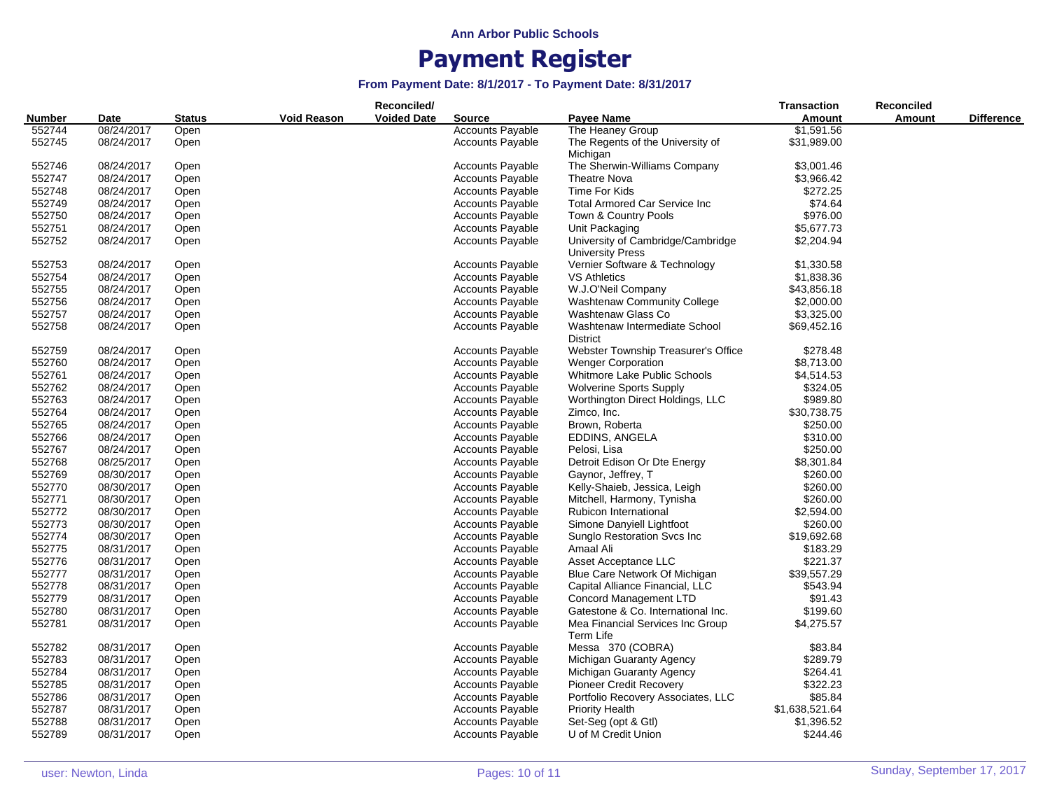|        |            |               |                    | Reconciled/        |                         |                                                              | <b>Transaction</b> | <b>Reconciled</b> |                   |
|--------|------------|---------------|--------------------|--------------------|-------------------------|--------------------------------------------------------------|--------------------|-------------------|-------------------|
| Number | Date       | <b>Status</b> | <b>Void Reason</b> | <b>Voided Date</b> | <b>Source</b>           | Payee Name                                                   | Amount             | <b>Amount</b>     | <b>Difference</b> |
| 552744 | 08/24/2017 | Open          |                    |                    | <b>Accounts Payable</b> | The Heaney Group                                             | \$1,591.56         |                   |                   |
| 552745 | 08/24/2017 | Open          |                    |                    | <b>Accounts Payable</b> | The Regents of the University of<br>Michigan                 | \$31,989.00        |                   |                   |
| 552746 | 08/24/2017 | Open          |                    |                    | <b>Accounts Payable</b> | The Sherwin-Williams Company                                 | \$3,001.46         |                   |                   |
| 552747 | 08/24/2017 | Open          |                    |                    | <b>Accounts Payable</b> | <b>Theatre Nova</b>                                          | \$3,966.42         |                   |                   |
| 552748 | 08/24/2017 | Open          |                    |                    | <b>Accounts Payable</b> | Time For Kids                                                | \$272.25           |                   |                   |
| 552749 | 08/24/2017 | Open          |                    |                    | <b>Accounts Payable</b> | <b>Total Armored Car Service Inc</b>                         | \$74.64            |                   |                   |
| 552750 | 08/24/2017 | Open          |                    |                    | <b>Accounts Payable</b> | Town & Country Pools                                         | \$976.00           |                   |                   |
| 552751 | 08/24/2017 | Open          |                    |                    | <b>Accounts Payable</b> | Unit Packaging                                               | \$5,677.73         |                   |                   |
| 552752 | 08/24/2017 | Open          |                    |                    | <b>Accounts Payable</b> | University of Cambridge/Cambridge<br><b>University Press</b> | \$2,204.94         |                   |                   |
| 552753 | 08/24/2017 | Open          |                    |                    | <b>Accounts Payable</b> | Vernier Software & Technology                                | \$1,330.58         |                   |                   |
| 552754 | 08/24/2017 | Open          |                    |                    | <b>Accounts Payable</b> | <b>VS Athletics</b>                                          | \$1,838.36         |                   |                   |
| 552755 | 08/24/2017 | Open          |                    |                    | <b>Accounts Payable</b> | W.J.O'Neil Company                                           | \$43,856.18        |                   |                   |
| 552756 | 08/24/2017 | Open          |                    |                    | <b>Accounts Payable</b> | Washtenaw Community College                                  | \$2,000.00         |                   |                   |
| 552757 | 08/24/2017 | Open          |                    |                    | <b>Accounts Payable</b> | Washtenaw Glass Co                                           | \$3,325.00         |                   |                   |
| 552758 | 08/24/2017 | Open          |                    |                    | <b>Accounts Payable</b> | Washtenaw Intermediate School<br><b>District</b>             | \$69,452.16        |                   |                   |
| 552759 | 08/24/2017 | Open          |                    |                    | <b>Accounts Payable</b> | Webster Township Treasurer's Office                          | \$278.48           |                   |                   |
| 552760 | 08/24/2017 | Open          |                    |                    | <b>Accounts Payable</b> | <b>Wenger Corporation</b>                                    | \$8,713.00         |                   |                   |
| 552761 | 08/24/2017 | Open          |                    |                    | <b>Accounts Payable</b> | Whitmore Lake Public Schools                                 | \$4,514.53         |                   |                   |
| 552762 | 08/24/2017 | Open          |                    |                    | <b>Accounts Payable</b> | <b>Wolverine Sports Supply</b>                               | \$324.05           |                   |                   |
| 552763 | 08/24/2017 | Open          |                    |                    | <b>Accounts Payable</b> | Worthington Direct Holdings, LLC                             | \$989.80           |                   |                   |
| 552764 | 08/24/2017 | Open          |                    |                    | <b>Accounts Payable</b> | Zimco, Inc.                                                  | \$30,738.75        |                   |                   |
| 552765 | 08/24/2017 | Open          |                    |                    | <b>Accounts Payable</b> | Brown, Roberta                                               | \$250.00           |                   |                   |
| 552766 | 08/24/2017 | Open          |                    |                    | <b>Accounts Payable</b> | EDDINS, ANGELA                                               | \$310.00           |                   |                   |
| 552767 | 08/24/2017 | Open          |                    |                    | <b>Accounts Payable</b> | Pelosi, Lisa                                                 | \$250.00           |                   |                   |
| 552768 | 08/25/2017 | Open          |                    |                    | <b>Accounts Payable</b> | Detroit Edison Or Dte Energy                                 | \$8,301.84         |                   |                   |
| 552769 | 08/30/2017 | Open          |                    |                    | <b>Accounts Payable</b> | Gaynor, Jeffrey, T                                           | \$260.00           |                   |                   |
| 552770 | 08/30/2017 | Open          |                    |                    | <b>Accounts Payable</b> | Kelly-Shaieb, Jessica, Leigh                                 | \$260.00           |                   |                   |
| 552771 | 08/30/2017 | Open          |                    |                    | <b>Accounts Payable</b> | Mitchell, Harmony, Tynisha                                   | \$260.00           |                   |                   |
| 552772 | 08/30/2017 | Open          |                    |                    | <b>Accounts Payable</b> | Rubicon International                                        | \$2,594.00         |                   |                   |
| 552773 | 08/30/2017 | Open          |                    |                    | <b>Accounts Payable</b> | Simone Danyiell Lightfoot                                    | \$260.00           |                   |                   |
| 552774 | 08/30/2017 | Open          |                    |                    | <b>Accounts Payable</b> | Sunglo Restoration Svcs Inc.                                 | \$19,692.68        |                   |                   |
| 552775 | 08/31/2017 | Open          |                    |                    | <b>Accounts Payable</b> | Amaal Ali                                                    | \$183.29           |                   |                   |
| 552776 | 08/31/2017 | Open          |                    |                    | <b>Accounts Payable</b> | Asset Acceptance LLC                                         | \$221.37           |                   |                   |
| 552777 | 08/31/2017 | Open          |                    |                    | <b>Accounts Payable</b> | Blue Care Network Of Michigan                                | \$39,557.29        |                   |                   |
| 552778 | 08/31/2017 | Open          |                    |                    | <b>Accounts Payable</b> | Capital Alliance Financial, LLC                              | \$543.94           |                   |                   |
| 552779 | 08/31/2017 | Open          |                    |                    | <b>Accounts Payable</b> | Concord Management LTD                                       | \$91.43            |                   |                   |
| 552780 | 08/31/2017 | Open          |                    |                    | <b>Accounts Payable</b> | Gatestone & Co. International Inc.                           | \$199.60           |                   |                   |
| 552781 | 08/31/2017 | Open          |                    |                    | <b>Accounts Payable</b> | Mea Financial Services Inc Group<br>Term Life                | \$4,275.57         |                   |                   |
| 552782 | 08/31/2017 | Open          |                    |                    | <b>Accounts Payable</b> | Messa 370 (COBRA)                                            | \$83.84            |                   |                   |
| 552783 | 08/31/2017 | Open          |                    |                    | <b>Accounts Payable</b> | <b>Michigan Guaranty Agency</b>                              | \$289.79           |                   |                   |
| 552784 | 08/31/2017 | Open          |                    |                    | <b>Accounts Payable</b> | Michigan Guaranty Agency                                     | \$264.41           |                   |                   |
| 552785 | 08/31/2017 | Open          |                    |                    | <b>Accounts Payable</b> | <b>Pioneer Credit Recovery</b>                               | \$322.23           |                   |                   |
| 552786 | 08/31/2017 | Open          |                    |                    | <b>Accounts Payable</b> | Portfolio Recovery Associates, LLC                           | \$85.84            |                   |                   |
| 552787 | 08/31/2017 | Open          |                    |                    | <b>Accounts Payable</b> | <b>Priority Health</b>                                       | \$1,638,521.64     |                   |                   |
| 552788 | 08/31/2017 | Open          |                    |                    | <b>Accounts Payable</b> | Set-Seg (opt & Gtl)                                          | \$1,396.52         |                   |                   |
| 552789 | 08/31/2017 | Open          |                    |                    | <b>Accounts Payable</b> | U of M Credit Union                                          | \$244.46           |                   |                   |